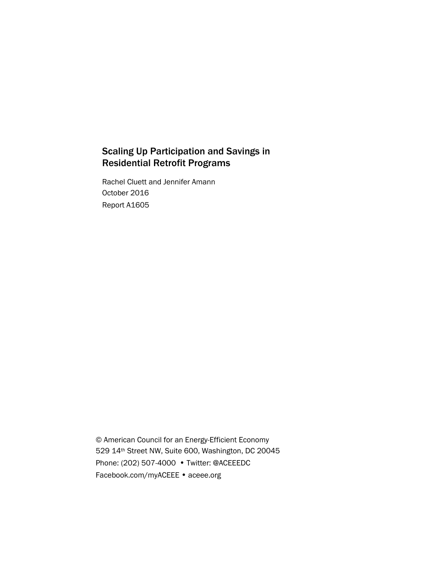# Scaling Up Participation and Savings in Residential Retrofit Programs

Rachel Cluett and Jennifer Amann October 2016 Report A1605

© American Council for an Energy-Efficient Economy 529 14th Street NW, Suite 600, Washington, DC 20045 Phone: (202) 507-4000 • Twitter: @ACEEEDC Facebook.com/myACEEE • aceee.org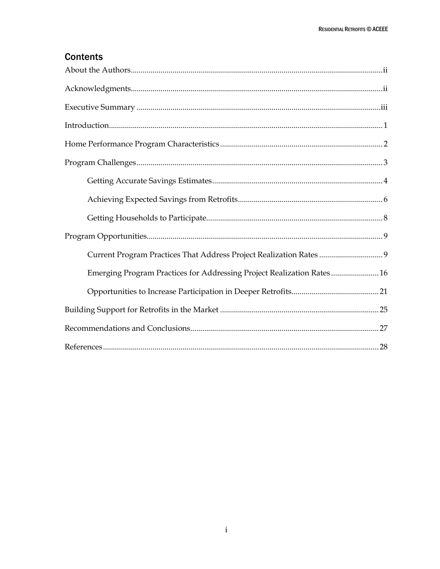# **Contents**

| Current Program Practices That Address Project Realization Rates 9     |
|------------------------------------------------------------------------|
| Emerging Program Practices for Addressing Project Realization Rates 16 |
|                                                                        |
|                                                                        |
|                                                                        |
|                                                                        |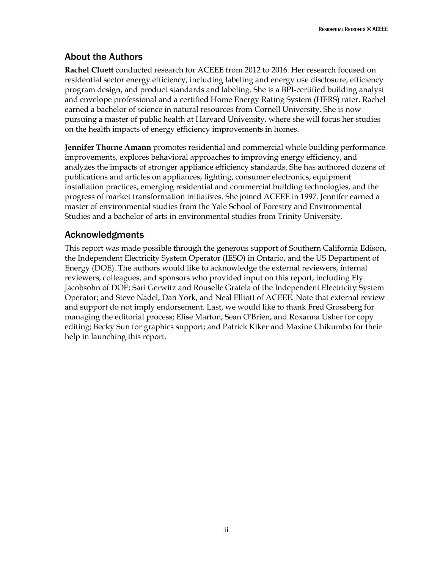# <span id="page-2-0"></span>About the Authors

**Rachel Cluett** conducted research for ACEEE from 2012 to 2016. Her research focused on residential sector energy efficiency, including labeling and energy use disclosure, efficiency program design, and product standards and labeling. She is a BPI-certified building analyst and envelope professional and a certified Home Energy Rating System (HERS) rater. Rachel earned a bachelor of science in natural resources from Cornell University. She is now pursuing a master of public health at Harvard University, where she will focus her studies on the health impacts of energy efficiency improvements in homes.

**Jennifer Thorne Amann** promotes residential and commercial whole building performance improvements, explores behavioral approaches to improving energy efficiency, and analyzes the impacts of stronger appliance efficiency standards. She has authored dozens of publications and articles on appliances, lighting, consumer electronics, equipment installation practices, emerging residential and commercial building technologies, and the progress of market transformation initiatives. She joined ACEEE in 1997. Jennifer earned a master of environmental studies from the Yale School of Forestry and Environmental Studies and a bachelor of arts in environmental studies from Trinity University.

# <span id="page-2-1"></span>Acknowledgments

This report was made possible through the generous support of Southern California Edison, the Independent Electricity System Operator (IESO) in Ontario, and the US Department of Energy (DOE). The authors would like to acknowledge the external reviewers, internal reviewers, colleagues, and sponsors who provided input on this report, including Ely Jacobsohn of DOE; Sari Gerwitz and Rouselle Gratela of the Independent Electricity System Operator; and Steve Nadel, Dan York, and Neal Elliott of ACEEE. Note that external review and support do not imply endorsement. Last, we would like to thank Fred Grossberg for managing the editorial process; Elise Marton, Sean O'Brien, and Roxanna Usher for copy editing; Becky Sun for graphics support; and Patrick Kiker and Maxine Chikumbo for their help in launching this report.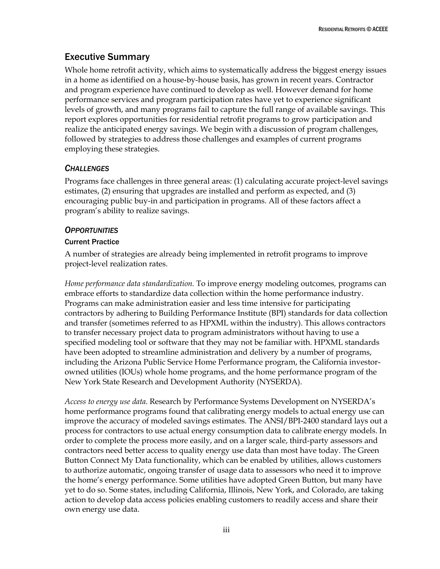# <span id="page-3-0"></span>Executive Summary

Whole home retrofit activity, which aims to systematically address the biggest energy issues in a home as identified on a house-by-house basis, has grown in recent years. Contractor and program experience have continued to develop as well. However demand for home performance services and program participation rates have yet to experience significant levels of growth, and many programs fail to capture the full range of available savings. This report explores opportunities for residential retrofit programs to grow participation and realize the anticipated energy savings. We begin with a discussion of program challenges, followed by strategies to address those challenges and examples of current programs employing these strategies.

# *CHALLENGES*

Programs face challenges in three general areas: (1) calculating accurate project-level savings estimates, (2) ensuring that upgrades are installed and perform as expected, and (3) encouraging public buy-in and participation in programs. All of these factors affect a program's ability to realize savings.

# *OPPORTUNITIES*

## Current Practice

A number of strategies are already being implemented in retrofit programs to improve project-level realization rates.

*Home performance data standardization.* To improve energy modeling outcomes*,* programs can embrace efforts to standardize data collection within the home performance industry. Programs can make administration easier and less time intensive for participating contractors by adhering to Building Performance Institute (BPI) standards for data collection and transfer (sometimes referred to as HPXML within the industry). This allows contractors to transfer necessary project data to program administrators without having to use a specified modeling tool or software that they may not be familiar with. HPXML standards have been adopted to streamline administration and delivery by a number of programs, including the Arizona Public Service Home Performance program, the California investorowned utilities (IOUs) whole home programs, and the home performance program of the New York State Research and Development Authority (NYSERDA).

*Access to energy use data*. Research by Performance Systems Development on NYSERDA's home performance programs found that calibrating energy models to actual energy use can improve the accuracy of modeled savings estimates. The ANSI/BPI-2400 standard lays out a process for contractors to use actual energy consumption data to calibrate energy models. In order to complete the process more easily, and on a larger scale, third-party assessors and contractors need better access to quality energy use data than most have today. The Green Button Connect My Data functionality, which can be enabled by utilities, allows customers to authorize automatic, ongoing transfer of usage data to assessors who need it to improve the home's energy performance. Some utilities have adopted Green Button, but many have yet to do so. Some states, including California, Illinois, New York, and Colorado, are taking action to develop data access policies enabling customers to readily access and share their own energy use data.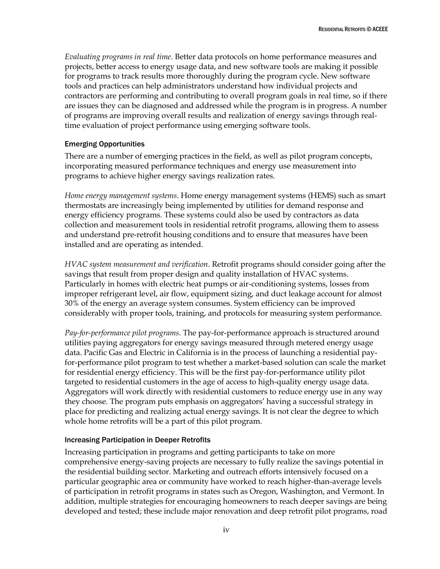*Evaluating programs in real time*. Better data protocols on home performance measures and projects, better access to energy usage data, and new software tools are making it possible for programs to track results more thoroughly during the program cycle. New software tools and practices can help administrators understand how individual projects and contractors are performing and contributing to overall program goals in real time, so if there are issues they can be diagnosed and addressed while the program is in progress. A number of programs are improving overall results and realization of energy savings through realtime evaluation of project performance using emerging software tools.

## Emerging Opportunities

There are a number of emerging practices in the field, as well as pilot program concepts, incorporating measured performance techniques and energy use measurement into programs to achieve higher energy savings realization rates.

*Home energy management systems*. Home energy management systems (HEMS) such as smart thermostats are increasingly being implemented by utilities for demand response and energy efficiency programs. These systems could also be used by contractors as data collection and measurement tools in residential retrofit programs, allowing them to assess and understand pre-retrofit housing conditions and to ensure that measures have been installed and are operating as intended.

*HVAC system measurement and verification*. Retrofit programs should consider going after the savings that result from proper design and quality installation of HVAC systems. Particularly in homes with electric heat pumps or air-conditioning systems, losses from improper refrigerant level, air flow, equipment sizing, and duct leakage account for almost 30% of the energy an average system consumes. System efficiency can be improved considerably with proper tools, training, and protocols for measuring system performance.

*Pay-for-performance pilot programs*. The pay-for-performance approach is structured around utilities paying aggregators for energy savings measured through metered energy usage data. Pacific Gas and Electric in California is in the process of launching a residential payfor-performance pilot program to test whether a market-based solution can scale the market for residential energy efficiency. This will be the first pay-for-performance utility pilot targeted to residential customers in the age of access to high-quality energy usage data. Aggregators will work directly with residential customers to reduce energy use in any way they choose. The program puts emphasis on aggregators' having a successful strategy in place for predicting and realizing actual energy savings. It is not clear the degree to which whole home retrofits will be a part of this pilot program.

## Increasing Participation in Deeper Retrofits

Increasing participation in programs and getting participants to take on more comprehensive energy-saving projects are necessary to fully realize the savings potential in the residential building sector. Marketing and outreach efforts intensively focused on a particular geographic area or community have worked to reach higher-than-average levels of participation in retrofit programs in states such as Oregon, Washington, and Vermont. In addition, multiple strategies for encouraging homeowners to reach deeper savings are being developed and tested; these include major renovation and deep retrofit pilot programs, road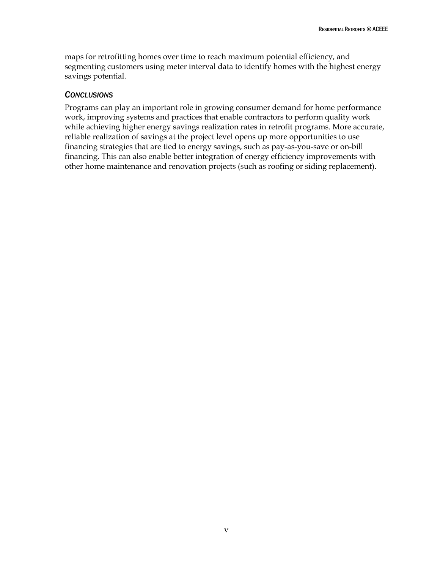maps for retrofitting homes over time to reach maximum potential efficiency, and segmenting customers using meter interval data to identify homes with the highest energy savings potential.

## *CONCLUSIONS*

Programs can play an important role in growing consumer demand for home performance work, improving systems and practices that enable contractors to perform quality work while achieving higher energy savings realization rates in retrofit programs. More accurate, reliable realization of savings at the project level opens up more opportunities to use financing strategies that are tied to energy savings, such as pay-as-you-save or on-bill financing. This can also enable better integration of energy efficiency improvements with other home maintenance and renovation projects (such as roofing or siding replacement).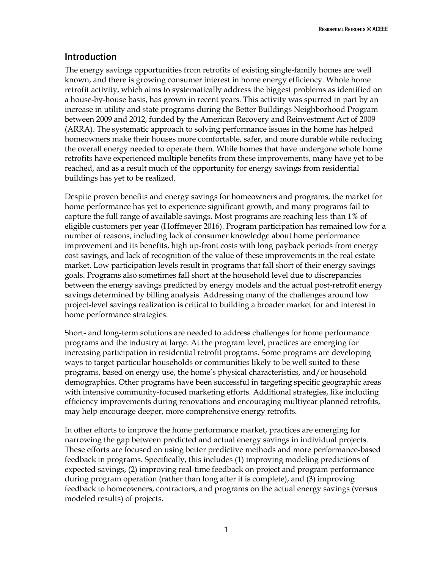# <span id="page-6-0"></span>Introduction

The energy savings opportunities from retrofits of existing single-family homes are well known, and there is growing consumer interest in home energy efficiency. Whole home retrofit activity, which aims to systematically address the biggest problems as identified on a house-by-house basis, has grown in recent years. This activity was spurred in part by an increase in utility and state programs during the Better Buildings Neighborhood Program between 2009 and 2012, funded by the American Recovery and Reinvestment Act of 2009 (ARRA). The systematic approach to solving performance issues in the home has helped homeowners make their houses more comfortable, safer, and more durable while reducing the overall energy needed to operate them. While homes that have undergone whole home retrofits have experienced multiple benefits from these improvements, many have yet to be reached, and as a result much of the opportunity for energy savings from residential buildings has yet to be realized.

Despite proven benefits and energy savings for homeowners and programs, the market for home performance has yet to experience significant growth, and many programs fail to capture the full range of available savings. Most programs are reaching less than 1% of eligible customers per year (Hoffmeyer 2016). Program participation has remained low for a number of reasons, including lack of consumer knowledge about home performance improvement and its benefits, high up-front costs with long payback periods from energy cost savings, and lack of recognition of the value of these improvements in the real estate market. Low participation levels result in programs that fall short of their energy savings goals. Programs also sometimes fall short at the household level due to discrepancies between the energy savings predicted by energy models and the actual post-retrofit energy savings determined by billing analysis. Addressing many of the challenges around low project-level savings realization is critical to building a broader market for and interest in home performance strategies.

Short- and long-term solutions are needed to address challenges for home performance programs and the industry at large. At the program level, practices are emerging for increasing participation in residential retrofit programs. Some programs are developing ways to target particular households or communities likely to be well suited to these programs, based on energy use, the home's physical characteristics, and/or household demographics. Other programs have been successful in targeting specific geographic areas with intensive community-focused marketing efforts. Additional strategies, like including efficiency improvements during renovations and encouraging multiyear planned retrofits, may help encourage deeper, more comprehensive energy retrofits.

In other efforts to improve the home performance market, practices are emerging for narrowing the gap between predicted and actual energy savings in individual projects. These efforts are focused on using better predictive methods and more performance-based feedback in programs. Specifically, this includes (1) improving modeling predictions of expected savings, (2) improving real-time feedback on project and program performance during program operation (rather than long after it is complete), and (3) improving feedback to homeowners, contractors, and programs on the actual energy savings (versus modeled results) of projects.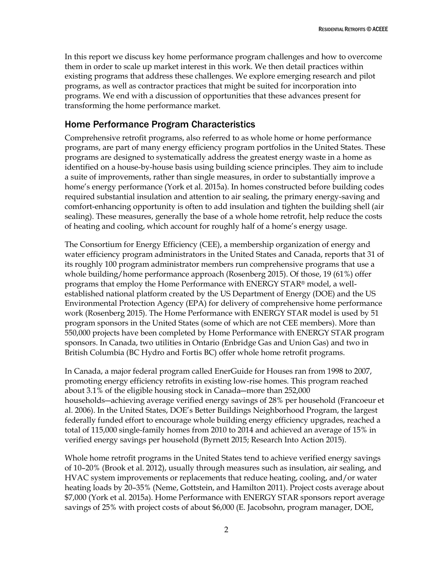In this report we discuss key home performance program challenges and how to overcome them in order to scale up market interest in this work. We then detail practices within existing programs that address these challenges. We explore emerging research and pilot programs, as well as contractor practices that might be suited for incorporation into programs. We end with a discussion of opportunities that these advances present for transforming the home performance market.

# <span id="page-7-0"></span>Home Performance Program Characteristics

Comprehensive retrofit programs, also referred to as whole home or home performance programs, are part of many energy efficiency program portfolios in the United States. These programs are designed to systematically address the greatest energy waste in a home as identified on a house-by-house basis using building science principles. They aim to include a suite of improvements, rather than single measures, in order to substantially improve a home's energy performance (York et al. 2015a). In homes constructed before building codes required substantial insulation and attention to air sealing, the primary energy-saving and comfort-enhancing opportunity is often to add insulation and tighten the building shell (air sealing). These measures, generally the base of a whole home retrofit, help reduce the costs of heating and cooling, which account for roughly half of a home's energy usage.

The Consortium for Energy Efficiency (CEE), a membership organization of energy and water efficiency program administrators in the United States and Canada, reports that 31 of its roughly 100 program administrator members run comprehensive programs that use a whole building/home performance approach (Rosenberg 2015). Of those, 19 (61%) offer programs that employ the Home Performance with ENERGY STAR® model, a wellestablished national platform created by the US Department of Energy (DOE) and the US Environmental Protection Agency (EPA) for delivery of comprehensive home performance work (Rosenberg 2015). The Home Performance with ENERGY STAR model is used by 51 program sponsors in the United States (some of which are not CEE members). More than 550,000 projects have been completed by Home Performance with ENERGY STAR program sponsors. In Canada, two utilities in Ontario (Enbridge Gas and Union Gas) and two in British Columbia (BC Hydro and Fortis BC) offer whole home retrofit programs.

In Canada, a major federal program called EnerGuide for Houses ran from 1998 to 2007, promoting energy efficiency retrofits in existing low-rise homes. This program reached about 3.1% of the eligible housing stock in Canada―more than 252,000 households―achieving average verified energy savings of 28% per household (Francoeur et al. 2006). In the United States, DOE's Better Buildings Neighborhood Program, the largest federally funded effort to encourage whole building energy efficiency upgrades, reached a total of 115,000 single-family homes from 2010 to 2014 and achieved an average of 15% in verified energy savings per household (Byrnett 2015; Research Into Action 2015).

Whole home retrofit programs in the United States tend to achieve verified energy savings of 10–20% (Brook et al. 2012), usually through measures such as insulation, air sealing, and HVAC system improvements or replacements that reduce heating, cooling, and/or water heating loads by 20–35% (Neme, Gottstein, and Hamilton 2011). Project costs average about \$7,000 (York et al. 2015a). Home Performance with ENERGY STAR sponsors report average savings of 25% with project costs of about \$6,000 (E. Jacobsohn, program manager, DOE,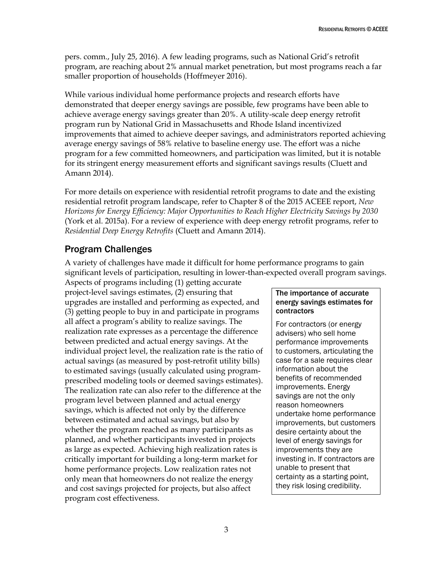pers. comm., July 25, 2016). A few leading programs, such as National Grid's retrofit program, are reaching about 2% annual market penetration, but most programs reach a far smaller proportion of households (Hoffmeyer 2016).

While various individual home performance projects and research efforts have demonstrated that deeper energy savings are possible, few programs have been able to achieve average energy savings greater than 20%. A utility-scale deep energy retrofit program run by National Grid in Massachusetts and Rhode Island incentivized improvements that aimed to achieve deeper savings, and administrators reported achieving average energy savings of 58% relative to baseline energy use. The effort was a niche program for a few committed homeowners, and participation was limited, but it is notable for its stringent energy measurement efforts and significant savings results (Cluett and Amann 2014).

For more details on experience with residential retrofit programs to date and the existing residential retrofit program landscape, refer to Chapter 8 of the 2015 ACEEE report, *New Horizons for Energy Efficiency: Major Opportunities to Reach Higher Electricity Savings by 2030* (York et al. 2015a). For a review of experience with deep energy retrofit programs, refer to *Residential Deep Energy Retrofits* (Cluett and Amann 2014).

# <span id="page-8-0"></span>Program Challenges

A variety of challenges have made it difficult for home performance programs to gain significant levels of participation, resulting in lower-than-expected overall program savings.

Aspects of programs including (1) getting accurate project-level savings estimates, (2) ensuring that upgrades are installed and performing as expected, and (3) getting people to buy in and participate in programs all affect a program's ability to realize savings. The realization rate expresses as a percentage the difference between predicted and actual energy savings. At the individual project level, the realization rate is the ratio of actual savings (as measured by post-retrofit utility bills) to estimated savings (usually calculated using programprescribed modeling tools or deemed savings estimates). The realization rate can also refer to the difference at the program level between planned and actual energy savings, which is affected not only by the difference between estimated and actual savings, but also by whether the program reached as many participants as planned, and whether participants invested in projects as large as expected. Achieving high realization rates is critically important for building a long-term market for home performance projects. Low realization rates not only mean that homeowners do not realize the energy and cost savings projected for projects, but also affect program cost effectiveness.

## The importance of accurate energy savings estimates for contractors

For contractors (or energy advisers) who sell home performance improvements to customers, articulating the case for a sale requires clear information about the benefits of recommended improvements. Energy savings are not the only reason homeowners undertake home performance improvements, but customers desire certainty about the level of energy savings for improvements they are investing in. If contractors are unable to present that certainty as a starting point, they risk losing credibility.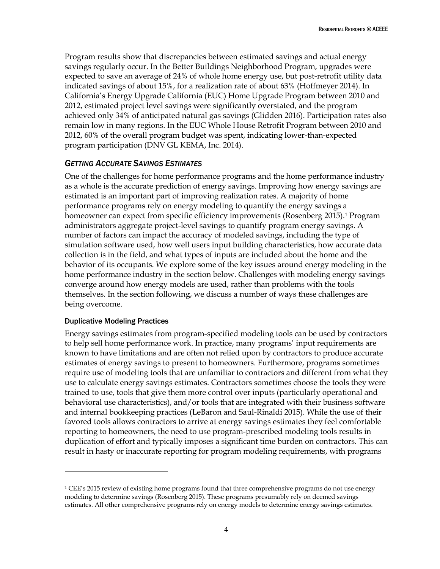Program results show that discrepancies between estimated savings and actual energy savings regularly occur. In the Better Buildings Neighborhood Program, upgrades were expected to save an average of 24% of whole home energy use, but post-retrofit utility data indicated savings of about 15%, for a realization rate of about 63% (Hoffmeyer 2014). In California's Energy Upgrade California (EUC) Home Upgrade Program between 2010 and 2012, estimated project level savings were significantly overstated, and the program achieved only 34% of anticipated natural gas savings (Glidden 2016). Participation rates also remain low in many regions. In the EUC Whole House Retrofit Program between 2010 and 2012, 60% of the overall program budget was spent, indicating lower-than-expected program participation (DNV GL KEMA, Inc. 2014).

# <span id="page-9-0"></span>*GETTING ACCURATE SAVINGS ESTIMATES*

One of the challenges for home performance programs and the home performance industry as a whole is the accurate prediction of energy savings. Improving how energy savings are estimated is an important part of improving realization rates. A majority of home performance programs rely on energy modeling to quantify the energy savings a homeowner can expect from specific efficiency improvements (Rosenberg 2015).<sup>1</sup> Program administrators aggregate project-level savings to quantify program energy savings. A number of factors can impact the accuracy of modeled savings, including the type of simulation software used, how well users input building characteristics, how accurate data collection is in the field, and what types of inputs are included about the home and the behavior of its occupants. We explore some of the key issues around energy modeling in the home performance industry in the section below. Challenges with modeling energy savings converge around how energy models are used, rather than problems with the tools themselves. In the section following, we discuss a number of ways these challenges are being overcome.

## Duplicative Modeling Practices

 $\overline{a}$ 

Energy savings estimates from program-specified modeling tools can be used by contractors to help sell home performance work. In practice, many programs' input requirements are known to have limitations and are often not relied upon by contractors to produce accurate estimates of energy savings to present to homeowners. Furthermore, programs sometimes require use of modeling tools that are unfamiliar to contractors and different from what they use to calculate energy savings estimates. Contractors sometimes choose the tools they were trained to use, tools that give them more control over inputs (particularly operational and behavioral use characteristics), and/or tools that are integrated with their business software and internal bookkeeping practices (LeBaron and Saul-Rinaldi 2015). While the use of their favored tools allows contractors to arrive at energy savings estimates they feel comfortable reporting to homeowners, the need to use program-prescribed modeling tools results in duplication of effort and typically imposes a significant time burden on contractors. This can result in hasty or inaccurate reporting for program modeling requirements, with programs

<sup>&</sup>lt;sup>1</sup> CEE's 2015 review of existing home programs found that three comprehensive programs do not use energy modeling to determine savings (Rosenberg 2015). These programs presumably rely on deemed savings estimates. All other comprehensive programs rely on energy models to determine energy savings estimates.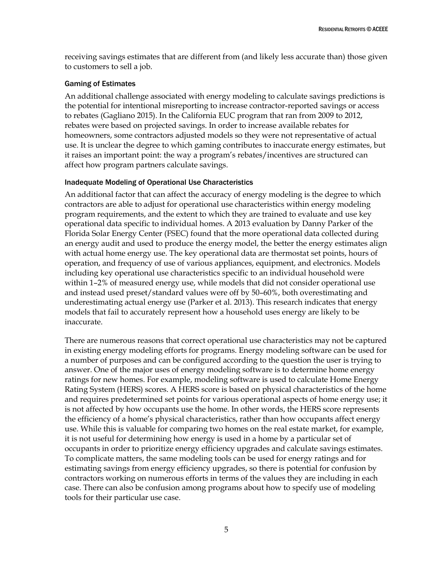receiving savings estimates that are different from (and likely less accurate than) those given to customers to sell a job.

#### Gaming of Estimates

An additional challenge associated with energy modeling to calculate savings predictions is the potential for intentional misreporting to increase contractor-reported savings or access to rebates (Gagliano 2015). In the California EUC program that ran from 2009 to 2012, rebates were based on projected savings. In order to increase available rebates for homeowners, some contractors adjusted models so they were not representative of actual use. It is unclear the degree to which gaming contributes to inaccurate energy estimates, but it raises an important point: the way a program's rebates/incentives are structured can affect how program partners calculate savings.

## Inadequate Modeling of Operational Use Characteristics

An additional factor that can affect the accuracy of energy modeling is the degree to which contractors are able to adjust for operational use characteristics within energy modeling program requirements, and the extent to which they are trained to evaluate and use key operational data specific to individual homes. A 2013 evaluation by Danny Parker of the Florida Solar Energy Center (FSEC) found that the more operational data collected during an energy audit and used to produce the energy model, the better the energy estimates align with actual home energy use. The key operational data are thermostat set points, hours of operation, and frequency of use of various appliances, equipment, and electronics. Models including key operational use characteristics specific to an individual household were within 1–2% of measured energy use, while models that did not consider operational use and instead used preset/standard values were off by 50–60%, both overestimating and underestimating actual energy use (Parker et al. 2013). This research indicates that energy models that fail to accurately represent how a household uses energy are likely to be inaccurate.

There are numerous reasons that correct operational use characteristics may not be captured in existing energy modeling efforts for programs. Energy modeling software can be used for a number of purposes and can be configured according to the question the user is trying to answer. One of the major uses of energy modeling software is to determine home energy ratings for new homes. For example, modeling software is used to calculate Home Energy Rating System (HERS) scores. A HERS score is based on physical characteristics of the home and requires predetermined set points for various operational aspects of home energy use; it is not affected by how occupants use the home. In other words, the HERS score represents the efficiency of a home's physical characteristics, rather than how occupants affect energy use. While this is valuable for comparing two homes on the real estate market, for example, it is not useful for determining how energy is used in a home by a particular set of occupants in order to prioritize energy efficiency upgrades and calculate savings estimates. To complicate matters, the same modeling tools can be used for energy ratings and for estimating savings from energy efficiency upgrades, so there is potential for confusion by contractors working on numerous efforts in terms of the values they are including in each case. There can also be confusion among programs about how to specify use of modeling tools for their particular use case.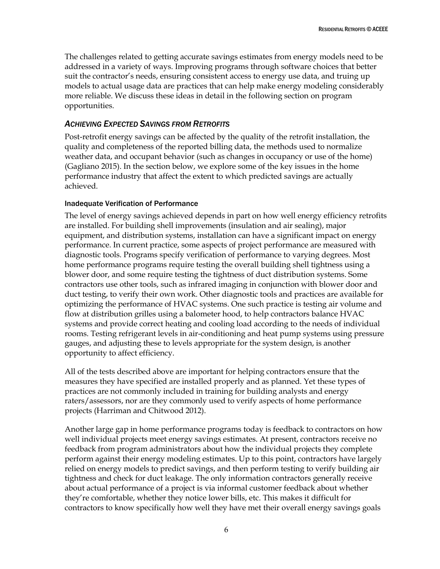The challenges related to getting accurate savings estimates from energy models need to be addressed in a variety of ways. Improving programs through software choices that better suit the contractor's needs, ensuring consistent access to energy use data, and truing up models to actual usage data are practices that can help make energy modeling considerably more reliable. We discuss these ideas in detail in the following section on program opportunities.

## <span id="page-11-0"></span>*ACHIEVING EXPECTED SAVINGS FROM RETROFITS*

Post-retrofit energy savings can be affected by the quality of the retrofit installation, the quality and completeness of the reported billing data, the methods used to normalize weather data, and occupant behavior (such as changes in occupancy or use of the home) (Gagliano 2015). In the section below, we explore some of the key issues in the home performance industry that affect the extent to which predicted savings are actually achieved.

#### Inadequate Verification of Performance

The level of energy savings achieved depends in part on how well energy efficiency retrofits are installed. For building shell improvements (insulation and air sealing), major equipment, and distribution systems, installation can have a significant impact on energy performance. In current practice, some aspects of project performance are measured with diagnostic tools. Programs specify verification of performance to varying degrees. Most home performance programs require testing the overall building shell tightness using a blower door, and some require testing the tightness of duct distribution systems. Some contractors use other tools, such as infrared imaging in conjunction with blower door and duct testing, to verify their own work. Other diagnostic tools and practices are available for optimizing the performance of HVAC systems. One such practice is testing air volume and flow at distribution grilles using a balometer hood, to help contractors balance HVAC systems and provide correct heating and cooling load according to the needs of individual rooms. Testing refrigerant levels in air-conditioning and heat pump systems using pressure gauges, and adjusting these to levels appropriate for the system design, is another opportunity to affect efficiency.

All of the tests described above are important for helping contractors ensure that the measures they have specified are installed properly and as planned. Yet these types of practices are not commonly included in training for building analysts and energy raters/assessors, nor are they commonly used to verify aspects of home performance projects (Harriman and Chitwood 2012).

Another large gap in home performance programs today is feedback to contractors on how well individual projects meet energy savings estimates. At present, contractors receive no feedback from program administrators about how the individual projects they complete perform against their energy modeling estimates. Up to this point, contractors have largely relied on energy models to predict savings, and then perform testing to verify building air tightness and check for duct leakage. The only information contractors generally receive about actual performance of a project is via informal customer feedback about whether they're comfortable, whether they notice lower bills, etc. This makes it difficult for contractors to know specifically how well they have met their overall energy savings goals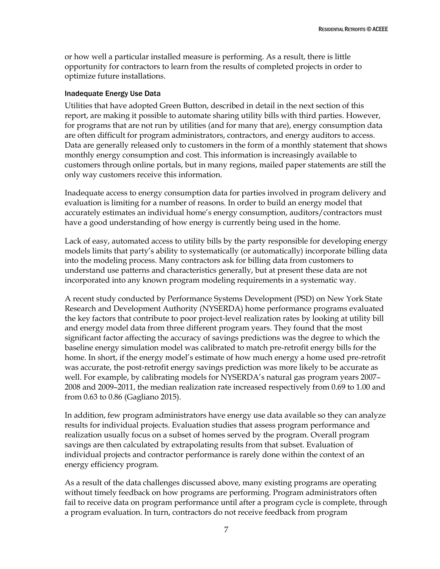or how well a particular installed measure is performing. As a result, there is little opportunity for contractors to learn from the results of completed projects in order to optimize future installations.

#### Inadequate Energy Use Data

Utilities that have adopted Green Button, described in detail in the next section of this report, are making it possible to automate sharing utility bills with third parties. However, for programs that are not run by utilities (and for many that are), energy consumption data are often difficult for program administrators, contractors, and energy auditors to access. Data are generally released only to customers in the form of a monthly statement that shows monthly energy consumption and cost. This information is increasingly available to customers through online portals, but in many regions, mailed paper statements are still the only way customers receive this information.

Inadequate access to energy consumption data for parties involved in program delivery and evaluation is limiting for a number of reasons. In order to build an energy model that accurately estimates an individual home's energy consumption, auditors/contractors must have a good understanding of how energy is currently being used in the home.

Lack of easy, automated access to utility bills by the party responsible for developing energy models limits that party's ability to systematically (or automatically) incorporate billing data into the modeling process. Many contractors ask for billing data from customers to understand use patterns and characteristics generally, but at present these data are not incorporated into any known program modeling requirements in a systematic way.

A recent study conducted by Performance Systems Development (PSD) on New York State Research and Development Authority (NYSERDA) home performance programs evaluated the key factors that contribute to poor project-level realization rates by looking at utility bill and energy model data from three different program years. They found that the most significant factor affecting the accuracy of savings predictions was the degree to which the baseline energy simulation model was calibrated to match pre-retrofit energy bills for the home. In short, if the energy model's estimate of how much energy a home used pre-retrofit was accurate, the post-retrofit energy savings prediction was more likely to be accurate as well. For example, by calibrating models for NYSERDA's natural gas program years 2007– 2008 and 2009–2011, the median realization rate increased respectively from 0.69 to 1.00 and from 0.63 to 0.86 (Gagliano 2015).

In addition, few program administrators have energy use data available so they can analyze results for individual projects. Evaluation studies that assess program performance and realization usually focus on a subset of homes served by the program. Overall program savings are then calculated by extrapolating results from that subset. Evaluation of individual projects and contractor performance is rarely done within the context of an energy efficiency program.

As a result of the data challenges discussed above, many existing programs are operating without timely feedback on how programs are performing. Program administrators often fail to receive data on program performance until after a program cycle is complete, through a program evaluation. In turn, contractors do not receive feedback from program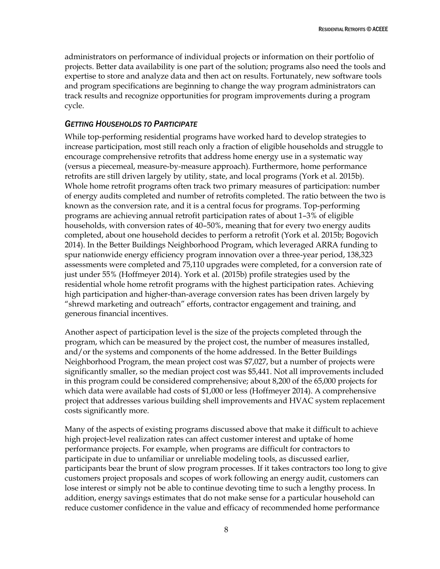administrators on performance of individual projects or information on their portfolio of projects. Better data availability is one part of the solution; programs also need the tools and expertise to store and analyze data and then act on results. Fortunately, new software tools and program specifications are beginning to change the way program administrators can track results and recognize opportunities for program improvements during a program cycle.

# <span id="page-13-0"></span>*GETTING HOUSEHOLDS TO PARTICIPATE*

While top-performing residential programs have worked hard to develop strategies to increase participation, most still reach only a fraction of eligible households and struggle to encourage comprehensive retrofits that address home energy use in a systematic way (versus a piecemeal, measure-by-measure approach). Furthermore, home performance retrofits are still driven largely by utility, state, and local programs (York et al. 2015b). Whole home retrofit programs often track two primary measures of participation: number of energy audits completed and number of retrofits completed. The ratio between the two is known as the conversion rate, and it is a central focus for programs. Top-performing programs are achieving annual retrofit participation rates of about 1–3% of eligible households, with conversion rates of 40–50%, meaning that for every two energy audits completed, about one household decides to perform a retrofit (York et al. 2015b; Bogovich 2014). In the Better Buildings Neighborhood Program, which leveraged ARRA funding to spur nationwide energy efficiency program innovation over a three-year period, 138,323 assessments were completed and 75,110 upgrades were completed, for a conversion rate of just under 55% (Hoffmeyer 2014). York et al. (2015b) profile strategies used by the residential whole home retrofit programs with the highest participation rates. Achieving high participation and higher-than-average conversion rates has been driven largely by "shrewd marketing and outreach" efforts, contractor engagement and training, and generous financial incentives.

Another aspect of participation level is the size of the projects completed through the program, which can be measured by the project cost, the number of measures installed, and/or the systems and components of the home addressed. In the Better Buildings Neighborhood Program, the mean project cost was \$7,027, but a number of projects were significantly smaller, so the median project cost was \$5,441. Not all improvements included in this program could be considered comprehensive; about 8,200 of the 65,000 projects for which data were available had costs of \$1,000 or less (Hoffmeyer 2014). A comprehensive project that addresses various building shell improvements and HVAC system replacement costs significantly more.

Many of the aspects of existing programs discussed above that make it difficult to achieve high project-level realization rates can affect customer interest and uptake of home performance projects. For example, when programs are difficult for contractors to participate in due to unfamiliar or unreliable modeling tools, as discussed earlier, participants bear the brunt of slow program processes. If it takes contractors too long to give customers project proposals and scopes of work following an energy audit, customers can lose interest or simply not be able to continue devoting time to such a lengthy process. In addition, energy savings estimates that do not make sense for a particular household can reduce customer confidence in the value and efficacy of recommended home performance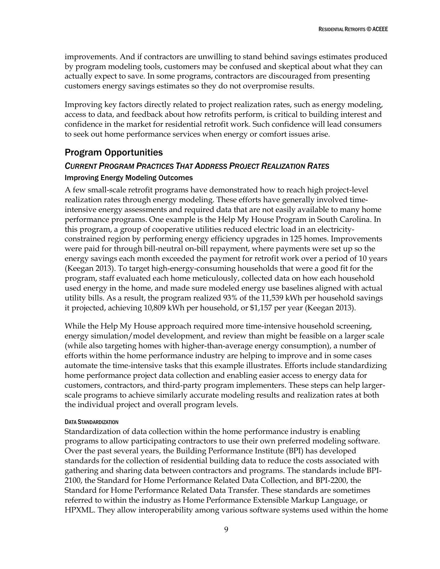improvements. And if contractors are unwilling to stand behind savings estimates produced by program modeling tools, customers may be confused and skeptical about what they can actually expect to save. In some programs, contractors are discouraged from presenting customers energy savings estimates so they do not overpromise results.

Improving key factors directly related to project realization rates, such as energy modeling, access to data, and feedback about how retrofits perform, is critical to building interest and confidence in the market for residential retrofit work. Such confidence will lead consumers to seek out home performance services when energy or comfort issues arise.

# <span id="page-14-0"></span>Program Opportunities

## <span id="page-14-1"></span>*CURRENT PROGRAM PRACTICES THAT ADDRESS PROJECT REALIZATION RATES*

## Improving Energy Modeling Outcomes

A few small-scale retrofit programs have demonstrated how to reach high project-level realization rates through energy modeling. These efforts have generally involved timeintensive energy assessments and required data that are not easily available to many home performance programs. One example is the Help My House Program in South Carolina. In this program, a group of cooperative utilities reduced electric load in an electricityconstrained region by performing energy efficiency upgrades in 125 homes. Improvements were paid for through bill-neutral on-bill repayment, where payments were set up so the energy savings each month exceeded the payment for retrofit work over a period of 10 years (Keegan 2013). To target high-energy-consuming households that were a good fit for the program, staff evaluated each home meticulously, collected data on how each household used energy in the home, and made sure modeled energy use baselines aligned with actual utility bills. As a result, the program realized 93% of the 11,539 kWh per household savings it projected, achieving 10,809 kWh per household, or \$1,157 per year (Keegan 2013).

While the Help My House approach required more time-intensive household screening, energy simulation/model development, and review than might be feasible on a larger scale (while also targeting homes with higher-than-average energy consumption), a number of efforts within the home performance industry are helping to improve and in some cases automate the time-intensive tasks that this example illustrates. Efforts include standardizing home performance project data collection and enabling easier access to energy data for customers, contractors, and third-party program implementers. These steps can help largerscale programs to achieve similarly accurate modeling results and realization rates at both the individual project and overall program levels.

#### DATA STANDARDIZATION

Standardization of data collection within the home performance industry is enabling programs to allow participating contractors to use their own preferred modeling software. Over the past several years, the Building Performance Institute (BPI) has developed standards for the collection of residential building data to reduce the costs associated with gathering and sharing data between contractors and programs. The standards include BPI-2100, the Standard for Home Performance Related Data Collection, and BPI-2200, the Standard for Home Performance Related Data Transfer. These standards are sometimes referred to within the industry as Home Performance Extensible Markup Language, or HPXML. They allow interoperability among various software systems used within the home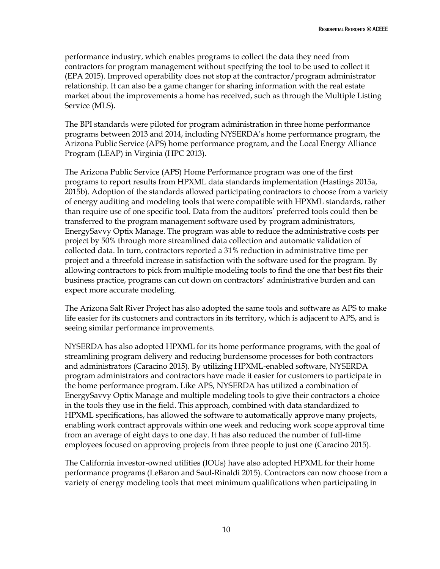performance industry, which enables programs to collect the data they need from contractors for program management without specifying the tool to be used to collect it (EPA 2015). Improved operability does not stop at the contractor/program administrator relationship. It can also be a game changer for sharing information with the real estate market about the improvements a home has received, such as through the Multiple Listing Service (MLS).

The BPI standards were piloted for program administration in three home performance programs between 2013 and 2014, including NYSERDA's home performance program, the Arizona Public Service (APS) home performance program, and the Local Energy Alliance Program (LEAP) in Virginia (HPC 2013).

The Arizona Public Service (APS) Home Performance program was one of the first programs to report results from HPXML data standards implementation (Hastings 2015a, 2015b). Adoption of the standards allowed participating contractors to choose from a variety of energy auditing and modeling tools that were compatible with HPXML standards, rather than require use of one specific tool. Data from the auditors' preferred tools could then be transferred to the program management software used by program administrators, EnergySavvy Optix Manage. The program was able to reduce the administrative costs per project by 50% through more streamlined data collection and automatic validation of collected data. In turn, contractors reported a 31% reduction in administrative time per project and a threefold increase in satisfaction with the software used for the program. By allowing contractors to pick from multiple modeling tools to find the one that best fits their business practice, programs can cut down on contractors' administrative burden and can expect more accurate modeling.

The Arizona Salt River Project has also adopted the same tools and software as APS to make life easier for its customers and contractors in its territory, which is adjacent to APS, and is seeing similar performance improvements.

NYSERDA has also adopted HPXML for its home performance programs, with the goal of streamlining program delivery and reducing burdensome processes for both contractors and administrators (Caracino 2015). By utilizing HPXML-enabled software, NYSERDA program administrators and contractors have made it easier for customers to participate in the home performance program. Like APS, NYSERDA has utilized a combination of EnergySavvy Optix Manage and multiple modeling tools to give their contractors a choice in the tools they use in the field. This approach, combined with data standardized to HPXML specifications, has allowed the software to automatically approve many projects, enabling work contract approvals within one week and reducing work scope approval time from an average of eight days to one day. It has also reduced the number of full-time employees focused on approving projects from three people to just one (Caracino 2015).

The California investor-owned utilities (IOUs) have also adopted HPXML for their home performance programs (LeBaron and Saul-Rinaldi 2015). Contractors can now choose from a variety of energy modeling tools that meet minimum qualifications when participating in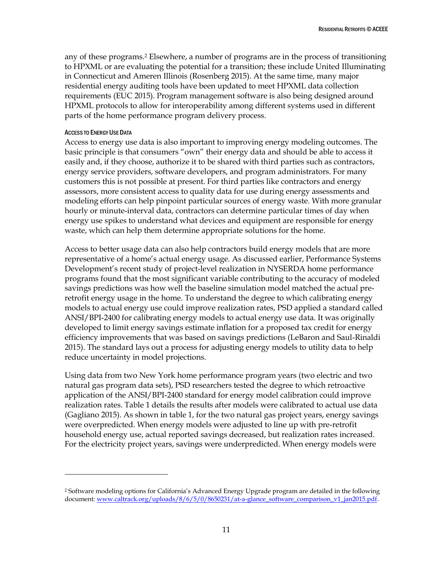any of these programs.<sup>2</sup> Elsewhere, a number of programs are in the process of transitioning to HPXML or are evaluating the potential for a transition; these include United Illuminating in Connecticut and Ameren Illinois (Rosenberg 2015). At the same time, many major residential energy auditing tools have been updated to meet HPXML data collection requirements (EUC 2015). Program management software is also being designed around HPXML protocols to allow for interoperability among different systems used in different parts of the home performance program delivery process.

#### ACCESS TO ENERGY USE DATA

 $\overline{a}$ 

Access to energy use data is also important to improving energy modeling outcomes. The basic principle is that consumers "own" their energy data and should be able to access it easily and, if they choose, authorize it to be shared with third parties such as contractors, energy service providers, software developers, and program administrators. For many customers this is not possible at present. For third parties like contractors and energy assessors, more consistent access to quality data for use during energy assessments and modeling efforts can help pinpoint particular sources of energy waste. With more granular hourly or minute-interval data, contractors can determine particular times of day when energy use spikes to understand what devices and equipment are responsible for energy waste, which can help them determine appropriate solutions for the home.

Access to better usage data can also help contractors build energy models that are more representative of a home's actual energy usage. As discussed earlier, Performance Systems Development's recent study of project-level realization in NYSERDA home performance programs found that the most significant variable contributing to the accuracy of modeled savings predictions was how well the baseline simulation model matched the actual preretrofit energy usage in the home. To understand the degree to which calibrating energy models to actual energy use could improve realization rates, PSD applied a standard called ANSI/BPI-2400 for calibrating energy models to actual energy use data. It was originally developed to limit energy savings estimate inflation for a proposed tax credit for energy efficiency improvements that was based on savings predictions (LeBaron and Saul-Rinaldi 2015). The standard lays out a process for adjusting energy models to utility data to help reduce uncertainty in model projections.

Using data from two New York home performance program years (two electric and two natural gas program data sets), PSD researchers tested the degree to which retroactive application of the ANSI/BPI-2400 standard for energy model calibration could improve realization rates. Table 1 details the results after models were calibrated to actual use data (Gagliano 2015). As shown in table 1, for the two natural gas project years, energy savings were overpredicted. When energy models were adjusted to line up with pre-retrofit household energy use, actual reported savings decreased, but realization rates increased. For the electricity project years, savings were underpredicted. When energy models were

<sup>2</sup> Software modeling options for California's Advanced Energy Upgrade program are detailed in the following document: [www.caltrack.org/uploads/8/6/5/0/8650231/at-a-glance\\_software\\_comparison\\_v1\\_jan2015.pdf.](http://www.caltrack.org/uploads/8/6/5/0/8650231/at-a-glance_software_comparison_v1_jan2015.pdf)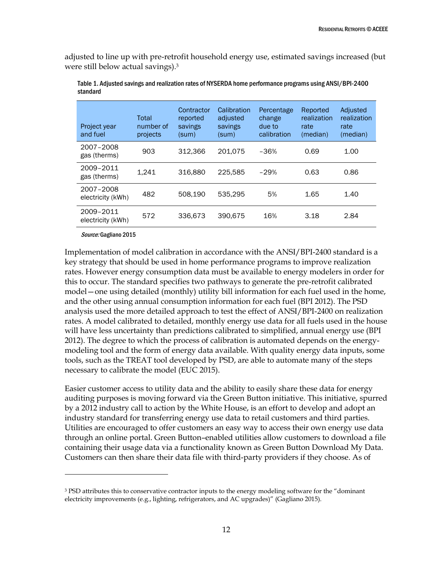adjusted to line up with pre-retrofit household energy use, estimated savings increased (but were still below actual savings).<sup>3</sup>

| Project year<br>and fuel       | Total<br>number of<br>projects | Contractor<br>reported<br>savings<br>(sum) | Calibration<br>adjusted<br>savings<br>(sum) | Percentage<br>change<br>due to<br>calibration | Reported<br>realization<br>rate<br>(median) | Adjusted<br>realization<br>rate<br>(median) |
|--------------------------------|--------------------------------|--------------------------------------------|---------------------------------------------|-----------------------------------------------|---------------------------------------------|---------------------------------------------|
| 2007-2008<br>gas (therms)      | 903                            | 312.366                                    | 201,075                                     | $-36%$                                        | 0.69                                        | 1.00                                        |
| 2009-2011<br>gas (therms)      | 1.241                          | 316,880                                    | 225.585                                     | $-29%$                                        | 0.63                                        | 0.86                                        |
| 2007-2008<br>electricity (kWh) | 482                            | 508.190                                    | 535.295                                     | 5%                                            | 1.65                                        | 1.40                                        |
| 2009-2011<br>electricity (kWh) | 572                            | 336.673                                    | 390.675                                     | 16%                                           | 3.18                                        | 2.84                                        |

Table 1. Adjusted savings and realization rates of NYSERDA home performance programs using ANSI/BPI-2400 standard

Source: Gagliano 2015

 $\overline{a}$ 

Implementation of model calibration in accordance with the ANSI/BPI-2400 standard is a key strategy that should be used in home performance programs to improve realization rates. However energy consumption data must be available to energy modelers in order for this to occur. The standard specifies two pathways to generate the pre-retrofit calibrated model—one using detailed (monthly) utility bill information for each fuel used in the home, and the other using annual consumption information for each fuel (BPI 2012). The PSD analysis used the more detailed approach to test the effect of ANSI/BPI-2400 on realization rates. A model calibrated to detailed, monthly energy use data for all fuels used in the house will have less uncertainty than predictions calibrated to simplified, annual energy use (BPI 2012). The degree to which the process of calibration is automated depends on the energymodeling tool and the form of energy data available. With quality energy data inputs, some tools, such as the TREAT tool developed by PSD, are able to automate many of the steps necessary to calibrate the model (EUC 2015).

Easier customer access to utility data and the ability to easily share these data for energy auditing purposes is moving forward via the Green Button initiative. This initiative, spurred by a 2012 industry call to action by the White House, is an effort to develop and adopt an industry standard for transferring energy use data to retail customers and third parties. Utilities are encouraged to offer customers an easy way to access their own energy use data through an online portal. Green Button–enabled utilities allow customers to download a file containing their usage data via a functionality known as Green Button Download My Data. Customers can then share their data file with third-party providers if they choose. As of

<sup>&</sup>lt;sup>3</sup> PSD attributes this to conservative contractor inputs to the energy modeling software for the "dominant" electricity improvements (e.g., lighting, refrigerators, and AC upgrades)" (Gagliano 2015).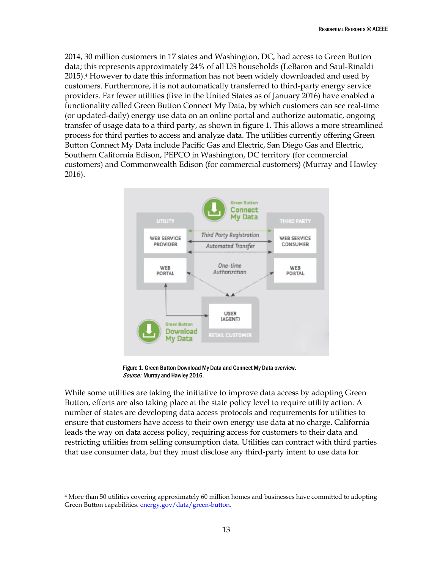2014, 30 million customers in 17 states and Washington, DC, had access to Green Button data; this represents approximately 24% of all US households (LeBaron and Saul-Rinaldi 2015).<sup>4</sup> However to date this information has not been widely downloaded and used by customers. Furthermore, it is not automatically transferred to third-party energy service providers. Far fewer utilities (five in the United States as of January 2016) have enabled a functionality called Green Button Connect My Data, by which customers can see real-time (or updated-daily) energy use data on an online portal and authorize automatic, ongoing transfer of usage data to a third party, as shown in figure 1. This allows a more streamlined process for third parties to access and analyze data. The utilities currently offering Green Button Connect My Data include Pacific Gas and Electric, San Diego Gas and Electric, Southern California Edison, PEPCO in Washington, DC territory (for commercial customers) and Commonwealth Edison (for commercial customers) (Murray and Hawley 2016).



Figure 1. Green Button Download My Data and Connect My Data overview. Source: Murray and Hawley 2016.

While some utilities are taking the initiative to improve data access by adopting Green Button, efforts are also taking place at the state policy level to require utility action. A number of states are developing data access protocols and requirements for utilities to ensure that customers have access to their own energy use data at no charge. California leads the way on data access policy, requiring access for customers to their data and restricting utilities from selling consumption data. Utilities can contract with third parties that use consumer data, but they must disclose any third-party intent to use data for

 $\overline{a}$ 

<sup>4</sup> More than 50 utilities covering approximately 60 million homes and businesses have committed to adopting Green Button capabilities. [energy.gov/data/green-button.](file:///C:/Users/fgrossberg/Dropbox/ACEEE/Rachel%20C/energy.gov/data/green-button)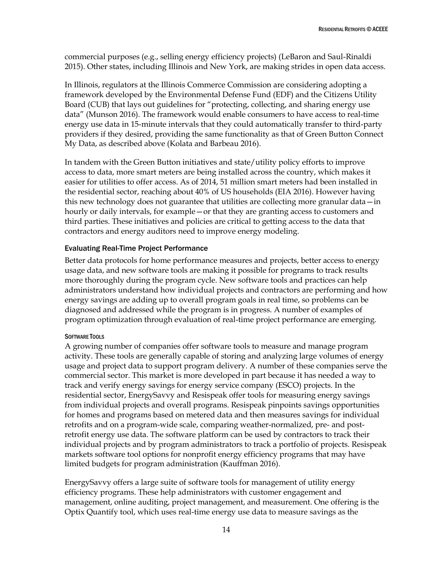commercial purposes (e.g., selling energy efficiency projects) (LeBaron and Saul-Rinaldi 2015). Other states, including Illinois and New York, are making strides in open data access.

In Illinois, regulators at the Illinois Commerce Commission are considering adopting a framework developed by the Environmental Defense Fund (EDF) and the Citizens Utility Board (CUB) that lays out guidelines for "protecting, collecting, and sharing energy use data" (Munson 2016). The framework would enable consumers to have access to real-time energy use data in 15-minute intervals that they could automatically transfer to third-party providers if they desired, providing the same functionality as that of Green Button Connect My Data, as described above (Kolata and Barbeau 2016).

In tandem with the Green Button initiatives and state/utility policy efforts to improve access to data, more smart meters are being installed across the country, which makes it easier for utilities to offer access. As of 2014, 51 million smart meters had been installed in the residential sector, reaching about 40% of US households (EIA 2016). However having this new technology does not guarantee that utilities are collecting more granular data—in hourly or daily intervals, for example—or that they are granting access to customers and third parties. These initiatives and policies are critical to getting access to the data that contractors and energy auditors need to improve energy modeling.

## Evaluating Real-Time Project Performance

Better data protocols for home performance measures and projects, better access to energy usage data, and new software tools are making it possible for programs to track results more thoroughly during the program cycle. New software tools and practices can help administrators understand how individual projects and contractors are performing and how energy savings are adding up to overall program goals in real time, so problems can be diagnosed and addressed while the program is in progress. A number of examples of program optimization through evaluation of real-time project performance are emerging.

## SOFTWARE TOOLS

A growing number of companies offer software tools to measure and manage program activity. These tools are generally capable of storing and analyzing large volumes of energy usage and project data to support program delivery. A number of these companies serve the commercial sector. This market is more developed in part because it has needed a way to track and verify energy savings for energy service company (ESCO) projects. In the residential sector, EnergySavvy and Resispeak offer tools for measuring energy savings from individual projects and overall programs. Resispeak pinpoints savings opportunities for homes and programs based on metered data and then measures savings for individual retrofits and on a program-wide scale, comparing weather-normalized, pre- and postretrofit energy use data. The software platform can be used by contractors to track their individual projects and by program administrators to track a portfolio of projects. Resispeak markets software tool options for nonprofit energy efficiency programs that may have limited budgets for program administration (Kauffman 2016).

EnergySavvy offers a large suite of software tools for management of utility energy efficiency programs. These help administrators with customer engagement and management, online auditing, project management, and measurement. One offering is the Optix Quantify tool, which uses real-time energy use data to measure savings as the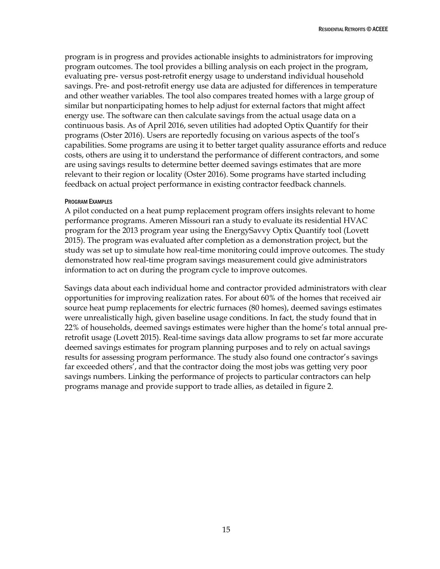program is in progress and provides actionable insights to administrators for improving program outcomes. The tool provides a billing analysis on each project in the program, evaluating pre- versus post-retrofit energy usage to understand individual household savings. Pre- and post-retrofit energy use data are adjusted for differences in temperature and other weather variables. The tool also compares treated homes with a large group of similar but nonparticipating homes to help adjust for external factors that might affect energy use. The software can then calculate savings from the actual usage data on a continuous basis. As of April 2016, seven utilities had adopted Optix Quantify for their programs (Oster 2016). Users are reportedly focusing on various aspects of the tool's capabilities. Some programs are using it to better target quality assurance efforts and reduce costs, others are using it to understand the performance of different contractors, and some are using savings results to determine better deemed savings estimates that are more relevant to their region or locality (Oster 2016). Some programs have started including feedback on actual project performance in existing contractor feedback channels.

#### PROGRAM EXAMPLES

A pilot conducted on a heat pump replacement program offers insights relevant to home performance programs. Ameren Missouri ran a study to evaluate its residential HVAC program for the 2013 program year using the EnergySavvy Optix Quantify tool (Lovett 2015). The program was evaluated after completion as a demonstration project, but the study was set up to simulate how real-time monitoring could improve outcomes. The study demonstrated how real-time program savings measurement could give administrators information to act on during the program cycle to improve outcomes.

Savings data about each individual home and contractor provided administrators with clear opportunities for improving realization rates. For about 60% of the homes that received air source heat pump replacements for electric furnaces (80 homes), deemed savings estimates were unrealistically high, given baseline usage conditions. In fact, the study found that in 22% of households, deemed savings estimates were higher than the home's total annual preretrofit usage (Lovett 2015). Real-time savings data allow programs to set far more accurate deemed savings estimates for program planning purposes and to rely on actual savings results for assessing program performance. The study also found one contractor's savings far exceeded others', and that the contractor doing the most jobs was getting very poor savings numbers. Linking the performance of projects to particular contractors can help programs manage and provide support to trade allies, as detailed in figure 2.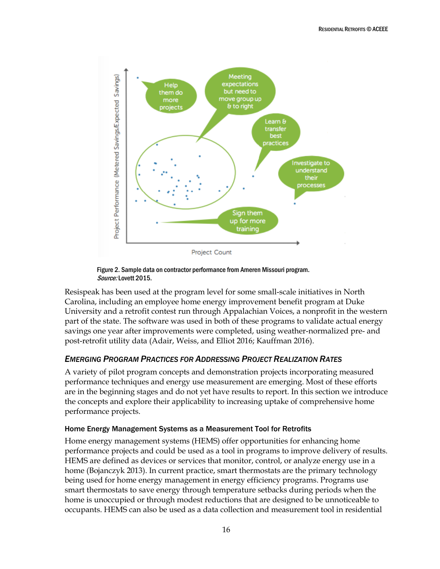

Figure 2. Sample data on contractor performance from Ameren Missouri program. Source: Lovett 2015.

Resispeak has been used at the program level for some small-scale initiatives in North Carolina, including an employee home energy improvement benefit program at Duke University and a retrofit contest run through Appalachian Voices, a nonprofit in the western part of the state. The software was used in both of these programs to validate actual energy savings one year after improvements were completed, using weather-normalized pre- and post-retrofit utility data (Adair, Weiss, and Elliot 2016; Kauffman 2016).

# <span id="page-21-0"></span>*EMERGING PROGRAM PRACTICES FOR ADDRESSING PROJECT REALIZATION RATES*

A variety of pilot program concepts and demonstration projects incorporating measured performance techniques and energy use measurement are emerging. Most of these efforts are in the beginning stages and do not yet have results to report. In this section we introduce the concepts and explore their applicability to increasing uptake of comprehensive home performance projects.

## Home Energy Management Systems as a Measurement Tool for Retrofits

Home energy management systems (HEMS) offer opportunities for enhancing home performance projects and could be used as a tool in programs to improve delivery of results. HEMS are defined as devices or services that monitor, control, or analyze energy use in a home (Bojanczyk 2013). In current practice, smart thermostats are the primary technology being used for home energy management in energy efficiency programs. Programs use smart thermostats to save energy through temperature setbacks during periods when the home is unoccupied or through modest reductions that are designed to be unnoticeable to occupants. HEMS can also be used as a data collection and measurement tool in residential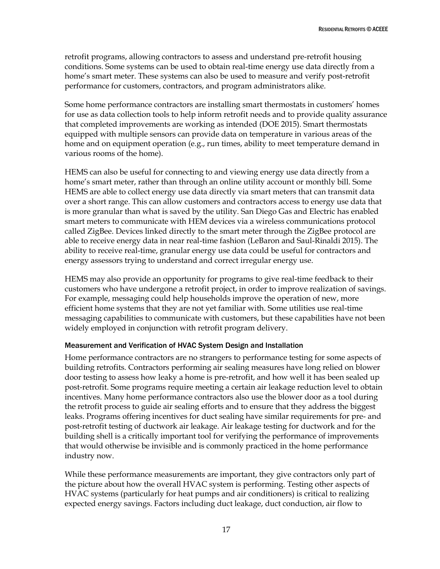retrofit programs, allowing contractors to assess and understand pre-retrofit housing conditions. Some systems can be used to obtain real-time energy use data directly from a home's smart meter. These systems can also be used to measure and verify post-retrofit performance for customers, contractors, and program administrators alike.

Some home performance contractors are installing smart thermostats in customers' homes for use as data collection tools to help inform retrofit needs and to provide quality assurance that completed improvements are working as intended (DOE 2015). Smart thermostats equipped with multiple sensors can provide data on temperature in various areas of the home and on equipment operation (e.g., run times, ability to meet temperature demand in various rooms of the home).

HEMS can also be useful for connecting to and viewing energy use data directly from a home's smart meter, rather than through an online utility account or monthly bill. Some HEMS are able to collect energy use data directly via smart meters that can transmit data over a short range. This can allow customers and contractors access to energy use data that is more granular than what is saved by the utility. San Diego Gas and Electric has enabled smart meters to communicate with HEM devices via a wireless communications protocol called ZigBee. Devices linked directly to the smart meter through the ZigBee protocol are able to receive energy data in near real-time fashion (LeBaron and Saul-Rinaldi 2015). The ability to receive real-time, granular energy use data could be useful for contractors and energy assessors trying to understand and correct irregular energy use.

HEMS may also provide an opportunity for programs to give real-time feedback to their customers who have undergone a retrofit project, in order to improve realization of savings. For example, messaging could help households improve the operation of new, more efficient home systems that they are not yet familiar with. Some utilities use real-time messaging capabilities to communicate with customers, but these capabilities have not been widely employed in conjunction with retrofit program delivery.

## Measurement and Verification of HVAC System Design and Installation

Home performance contractors are no strangers to performance testing for some aspects of building retrofits. Contractors performing air sealing measures have long relied on blower door testing to assess how leaky a home is pre-retrofit, and how well it has been sealed up post-retrofit. Some programs require meeting a certain air leakage reduction level to obtain incentives. Many home performance contractors also use the blower door as a tool during the retrofit process to guide air sealing efforts and to ensure that they address the biggest leaks. Programs offering incentives for duct sealing have similar requirements for pre- and post-retrofit testing of ductwork air leakage. Air leakage testing for ductwork and for the building shell is a critically important tool for verifying the performance of improvements that would otherwise be invisible and is commonly practiced in the home performance industry now.

While these performance measurements are important, they give contractors only part of the picture about how the overall HVAC system is performing. Testing other aspects of HVAC systems (particularly for heat pumps and air conditioners) is critical to realizing expected energy savings. Factors including duct leakage, duct conduction, air flow to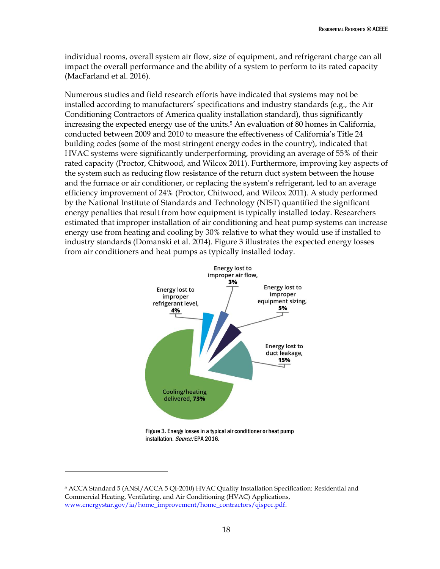individual rooms, overall system air flow, size of equipment, and refrigerant charge can all impact the overall performance and the ability of a system to perform to its rated capacity (MacFarland et al. 2016).

Numerous studies and field research efforts have indicated that systems may not be installed according to manufacturers' specifications and industry standards (e.g., the Air Conditioning Contractors of America quality installation standard), thus significantly increasing the expected energy use of the units.<sup>5</sup> An evaluation of 80 homes in California, conducted between 2009 and 2010 to measure the effectiveness of California's Title 24 building codes (some of the most stringent energy codes in the country), indicated that HVAC systems were significantly underperforming, providing an average of 55% of their rated capacity (Proctor, Chitwood, and Wilcox 2011). Furthermore, improving key aspects of the system such as reducing flow resistance of the return duct system between the house and the furnace or air conditioner, or replacing the system's refrigerant, led to an average efficiency improvement of 24% (Proctor, Chitwood, and Wilcox 2011). A study performed by the National Institute of Standards and Technology (NIST) quantified the significant energy penalties that result from how equipment is typically installed today. Researchers estimated that improper installation of air conditioning and heat pump systems can increase energy use from heating and cooling by 30% relative to what they would use if installed to industry standards (Domanski et al. 2014). Figure 3 illustrates the expected energy losses from air conditioners and heat pumps as typically installed today.



installation. Source: EPA 2016.

 $\overline{a}$ 

<sup>5</sup> ACCA Standard 5 (ANSI/ACCA 5 QI-2010) HVAC Quality Installation Specification: Residential and Commercial Heating, Ventilating, and Air Conditioning (HVAC) Applications, [www.energystar.gov/ia/home\\_improvement/home\\_contractors/qispec.pdf.](http://www.energystar.gov/ia/home_improvement/home_contractors/qispec.pdf)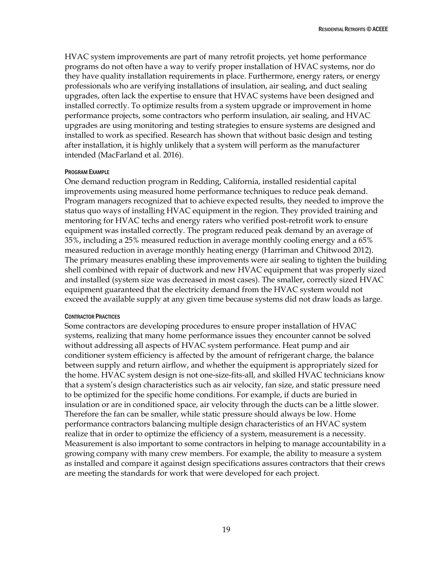HVAC system improvements are part of many retrofit projects, yet home performance programs do not often have a way to verify proper installation of HVAC systems, nor do they have quality installation requirements in place. Furthermore, energy raters, or energy professionals who are verifying installations of insulation, air sealing, and duct sealing upgrades, often lack the expertise to ensure that HVAC systems have been designed and installed correctly. To optimize results from a system upgrade or improvement in home performance projects, some contractors who perform insulation, air sealing, and HVAC upgrades are using monitoring and testing strategies to ensure systems are designed and installed to work as specified. Research has shown that without basic design and testing after installation, it is highly unlikely that a system will perform as the manufacturer intended (MacFarland et al. 2016).

#### PROGRAM EXAMPLE

One demand reduction program in Redding, California, installed residential capital improvements using measured home performance techniques to reduce peak demand. Program managers recognized that to achieve expected results, they needed to improve the status quo ways of installing HVAC equipment in the region. They provided training and mentoring for HVAC techs and energy raters who verified post-retrofit work to ensure equipment was installed correctly. The program reduced peak demand by an average of 35%, including a 25% measured reduction in average monthly cooling energy and a 65% measured reduction in average monthly heating energy (Harriman and Chitwood 2012). The primary measures enabling these improvements were air sealing to tighten the building shell combined with repair of ductwork and new HVAC equipment that was properly sized and installed (system size was decreased in most cases). The smaller, correctly sized HVAC equipment guaranteed that the electricity demand from the HVAC system would not exceed the available supply at any given time because systems did not draw loads as large.

#### CONTRACTOR PRACTICES

Some contractors are developing procedures to ensure proper installation of HVAC systems, realizing that many home performance issues they encounter cannot be solved without addressing all aspects of HVAC system performance. Heat pump and air conditioner system efficiency is affected by the amount of refrigerant charge, the balance between supply and return airflow, and whether the equipment is appropriately sized for the home. HVAC system design is not one-size-fits-all, and skilled HVAC technicians know that a system's design characteristics such as air velocity, fan size, and static pressure need to be optimized for the specific home conditions. For example, if ducts are buried in insulation or are in conditioned space, air velocity through the ducts can be a little slower. Therefore the fan can be smaller, while static pressure should always be low. Home performance contractors balancing multiple design characteristics of an HVAC system realize that in order to optimize the efficiency of a system, measurement is a necessity. Measurement is also important to some contractors in helping to manage accountability in a growing company with many crew members. For example, the ability to measure a system as installed and compare it against design specifications assures contractors that their crews are meeting the standards for work that were developed for each project.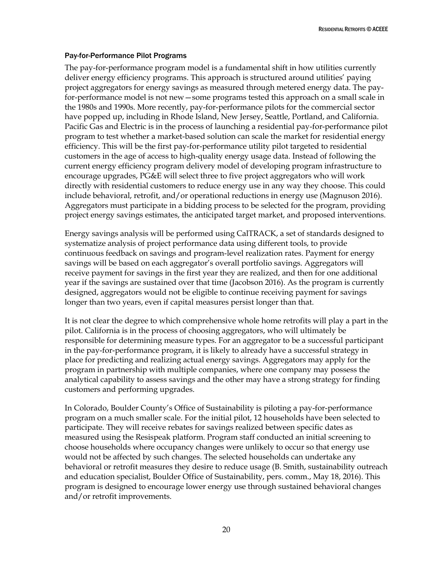## Pay-for-Performance Pilot Programs

The pay-for-performance program model is a fundamental shift in how utilities currently deliver energy efficiency programs. This approach is structured around utilities' paying project aggregators for energy savings as measured through metered energy data. The payfor-performance model is not new—some programs tested this approach on a small scale in the 1980s and 1990s. More recently, pay-for-performance pilots for the commercial sector have popped up, including in Rhode Island, New Jersey, Seattle, Portland, and California. Pacific Gas and Electric is in the process of launching a residential pay-for-performance pilot program to test whether a market-based solution can scale the market for residential energy efficiency. This will be the first pay-for-performance utility pilot targeted to residential customers in the age of access to high-quality energy usage data. Instead of following the current energy efficiency program delivery model of developing program infrastructure to encourage upgrades, PG&E will select three to five project aggregators who will work directly with residential customers to reduce energy use in any way they choose. This could include behavioral, retrofit, and/or operational reductions in energy use (Magnuson 2016). Aggregators must participate in a bidding process to be selected for the program, providing project energy savings estimates, the anticipated target market, and proposed interventions.

Energy savings analysis will be performed using CalTRACK, a set of standards designed to systematize analysis of project performance data using different tools, to provide continuous feedback on savings and program-level realization rates. Payment for energy savings will be based on each aggregator's overall portfolio savings. Aggregators will receive payment for savings in the first year they are realized, and then for one additional year if the savings are sustained over that time (Jacobson 2016). As the program is currently designed, aggregators would not be eligible to continue receiving payment for savings longer than two years, even if capital measures persist longer than that.

It is not clear the degree to which comprehensive whole home retrofits will play a part in the pilot. California is in the process of choosing aggregators, who will ultimately be responsible for determining measure types. For an aggregator to be a successful participant in the pay-for-performance program, it is likely to already have a successful strategy in place for predicting and realizing actual energy savings. Aggregators may apply for the program in partnership with multiple companies, where one company may possess the analytical capability to assess savings and the other may have a strong strategy for finding customers and performing upgrades.

In Colorado, Boulder County's Office of Sustainability is piloting a pay-for-performance program on a much smaller scale. For the initial pilot, 12 households have been selected to participate. They will receive rebates for savings realized between specific dates as measured using the Resispeak platform. Program staff conducted an initial screening to choose households where occupancy changes were unlikely to occur so that energy use would not be affected by such changes. The selected households can undertake any behavioral or retrofit measures they desire to reduce usage (B. Smith, sustainability outreach and education specialist, Boulder Office of Sustainability, pers. comm., May 18, 2016). This program is designed to encourage lower energy use through sustained behavioral changes and/or retrofit improvements.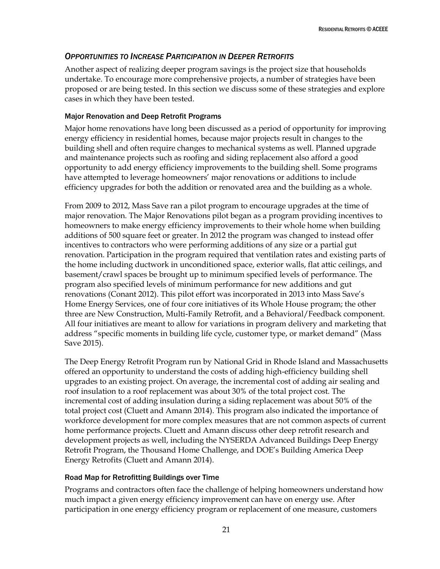# <span id="page-26-0"></span>*OPPORTUNITIES TO INCREASE PARTICIPATION IN DEEPER RETROFITS*

Another aspect of realizing deeper program savings is the project size that households undertake. To encourage more comprehensive projects, a number of strategies have been proposed or are being tested. In this section we discuss some of these strategies and explore cases in which they have been tested.

## Major Renovation and Deep Retrofit Programs

Major home renovations have long been discussed as a period of opportunity for improving energy efficiency in residential homes, because major projects result in changes to the building shell and often require changes to mechanical systems as well. Planned upgrade and maintenance projects such as roofing and siding replacement also afford a good opportunity to add energy efficiency improvements to the building shell. Some programs have attempted to leverage homeowners' major renovations or additions to include efficiency upgrades for both the addition or renovated area and the building as a whole.

From 2009 to 2012, Mass Save ran a pilot program to encourage upgrades at the time of major renovation. The Major Renovations pilot began as a program providing incentives to homeowners to make energy efficiency improvements to their whole home when building additions of 500 square feet or greater. In 2012 the program was changed to instead offer incentives to contractors who were performing additions of any size or a partial gut renovation. Participation in the program required that ventilation rates and existing parts of the home including ductwork in unconditioned space, exterior walls, flat attic ceilings, and basement/crawl spaces be brought up to minimum specified levels of performance. The program also specified levels of minimum performance for new additions and gut renovations (Conant 2012). This pilot effort was incorporated in 2013 into Mass Save's Home Energy Services, one of four core initiatives of its Whole House program; the other three are New Construction, Multi-Family Retrofit, and a Behavioral/Feedback component. All four initiatives are meant to allow for variations in program delivery and marketing that address "specific moments in building life cycle, customer type, or market demand" (Mass Save 2015).

The Deep Energy Retrofit Program run by National Grid in Rhode Island and Massachusetts offered an opportunity to understand the costs of adding high-efficiency building shell upgrades to an existing project. On average, the incremental cost of adding air sealing and roof insulation to a roof replacement was about 30% of the total project cost. The incremental cost of adding insulation during a siding replacement was about 50% of the total project cost (Cluett and Amann 2014). This program also indicated the importance of workforce development for more complex measures that are not common aspects of current home performance projects. Cluett and Amann discuss other deep retrofit research and development projects as well, including the NYSERDA Advanced Buildings Deep Energy Retrofit Program, the Thousand Home Challenge, and DOE's Building America Deep Energy Retrofits (Cluett and Amann 2014).

## Road Map for Retrofitting Buildings over Time

Programs and contractors often face the challenge of helping homeowners understand how much impact a given energy efficiency improvement can have on energy use. After participation in one energy efficiency program or replacement of one measure, customers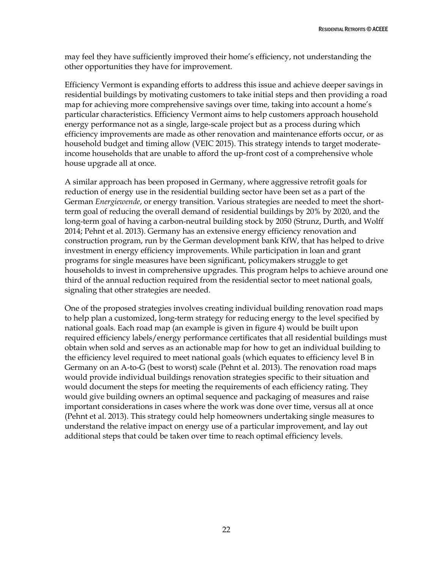may feel they have sufficiently improved their home's efficiency, not understanding the other opportunities they have for improvement.

Efficiency Vermont is expanding efforts to address this issue and achieve deeper savings in residential buildings by motivating customers to take initial steps and then providing a road map for achieving more comprehensive savings over time, taking into account a home's particular characteristics. Efficiency Vermont aims to help customers approach household energy performance not as a single, large-scale project but as a process during which efficiency improvements are made as other renovation and maintenance efforts occur, or as household budget and timing allow (VEIC 2015). This strategy intends to target moderateincome households that are unable to afford the up-front cost of a comprehensive whole house upgrade all at once.

A similar approach has been proposed in Germany, where aggressive retrofit goals for reduction of energy use in the residential building sector have been set as a part of the German *Energiewende*, or energy transition. Various strategies are needed to meet the shortterm goal of reducing the overall demand of residential buildings by 20% by 2020, and the long-term goal of having a carbon-neutral building stock by 2050 (Strunz, Durth, and Wolff 2014; Pehnt et al. 2013). Germany has an extensive energy efficiency renovation and construction program, run by the German development bank KfW, that has helped to drive investment in energy efficiency improvements. While participation in loan and grant programs for single measures have been significant, policymakers struggle to get households to invest in comprehensive upgrades. This program helps to achieve around one third of the annual reduction required from the residential sector to meet national goals, signaling that other strategies are needed.

One of the proposed strategies involves creating individual building renovation road maps to help plan a customized, long-term strategy for reducing energy to the level specified by national goals. Each road map (an example is given in figure 4) would be built upon required efficiency labels/energy performance certificates that all residential buildings must obtain when sold and serves as an actionable map for how to get an individual building to the efficiency level required to meet national goals (which equates to efficiency level B in Germany on an A-to-G (best to worst) scale (Pehnt et al. 2013). The renovation road maps would provide individual buildings renovation strategies specific to their situation and would document the steps for meeting the requirements of each efficiency rating. They would give building owners an optimal sequence and packaging of measures and raise important considerations in cases where the work was done over time, versus all at once (Pehnt et al. 2013). This strategy could help homeowners undertaking single measures to understand the relative impact on energy use of a particular improvement, and lay out additional steps that could be taken over time to reach optimal efficiency levels.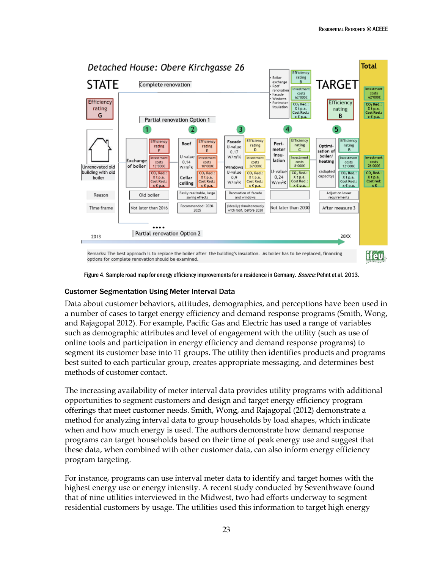

Figure 4. Sample road map for energy efficiency improvements for a residence in Germany. Source: Pehnt et al. 2013.

#### Customer Segmentation Using Meter Interval Data

Data about customer behaviors, attitudes, demographics, and perceptions have been used in a number of cases to target energy efficiency and demand response programs (Smith, Wong, and Rajagopal 2012). For example, Pacific Gas and Electric has used a range of variables such as demographic attributes and level of engagement with the utility (such as use of online tools and participation in energy efficiency and demand response programs) to segment its customer base into 11 groups. The utility then identifies products and programs best suited to each particular group, creates appropriate messaging, and determines best methods of customer contact.

The increasing availability of meter interval data provides utility programs with additional opportunities to segment customers and design and target energy efficiency program offerings that meet customer needs. Smith, Wong, and Rajagopal (2012) demonstrate a method for analyzing interval data to group households by load shapes, which indicate when and how much energy is used. The authors demonstrate how demand response programs can target households based on their time of peak energy use and suggest that these data, when combined with other customer data, can also inform energy efficiency program targeting.

For instance, programs can use interval meter data to identify and target homes with the highest energy use or energy intensity. A recent study conducted by Seventhwave found that of nine utilities interviewed in the Midwest, two had efforts underway to segment residential customers by usage. The utilities used this information to target high energy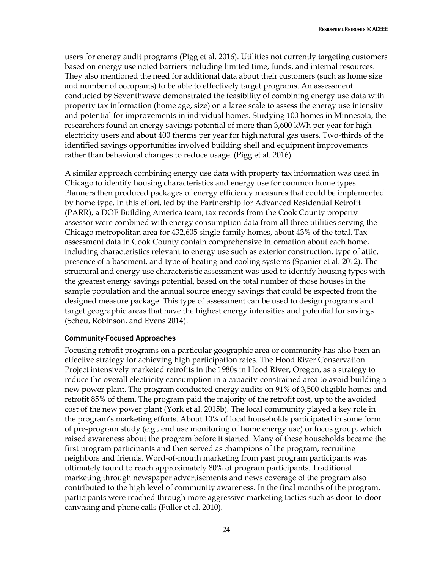users for energy audit programs (Pigg et al. 2016). Utilities not currently targeting customers based on energy use noted barriers including limited time, funds, and internal resources. They also mentioned the need for additional data about their customers (such as home size and number of occupants) to be able to effectively target programs. An assessment conducted by Seventhwave demonstrated the feasibility of combining energy use data with property tax information (home age, size) on a large scale to assess the energy use intensity and potential for improvements in individual homes. Studying 100 homes in Minnesota, the researchers found an energy savings potential of more than 3,600 kWh per year for high electricity users and about 400 therms per year for high natural gas users. Two-thirds of the identified savings opportunities involved building shell and equipment improvements rather than behavioral changes to reduce usage. (Pigg et al. 2016).

A similar approach combining energy use data with property tax information was used in Chicago to identify housing characteristics and energy use for common home types. Planners then produced packages of energy efficiency measures that could be implemented by home type. In this effort, led by the Partnership for Advanced Residential Retrofit (PARR), a DOE Building America team, tax records from the Cook County property assessor were combined with energy consumption data from all three utilities serving the Chicago metropolitan area for 432,605 single-family homes, about 43% of the total. Tax assessment data in Cook County contain comprehensive information about each home, including characteristics relevant to energy use such as exterior construction, type of attic, presence of a basement, and type of heating and cooling systems (Spanier et al. 2012). The structural and energy use characteristic assessment was used to identify housing types with the greatest energy savings potential, based on the total number of those houses in the sample population and the annual source energy savings that could be expected from the designed measure package. This type of assessment can be used to design programs and target geographic areas that have the highest energy intensities and potential for savings (Scheu, Robinson, and Evens 2014).

## Community-Focused Approaches

Focusing retrofit programs on a particular geographic area or community has also been an effective strategy for achieving high participation rates. The Hood River Conservation Project intensively marketed retrofits in the 1980s in Hood River, Oregon, as a strategy to reduce the overall electricity consumption in a capacity-constrained area to avoid building a new power plant. The program conducted energy audits on 91% of 3,500 eligible homes and retrofit 85% of them. The program paid the majority of the retrofit cost, up to the avoided cost of the new power plant (York et al. 2015b). The local community played a key role in the program's marketing efforts. About 10% of local households participated in some form of pre-program study (e.g., end use monitoring of home energy use) or focus group, which raised awareness about the program before it started. Many of these households became the first program participants and then served as champions of the program, recruiting neighbors and friends. Word-of-mouth marketing from past program participants was ultimately found to reach approximately 80% of program participants. Traditional marketing through newspaper advertisements and news coverage of the program also contributed to the high level of community awareness. In the final months of the program, participants were reached through more aggressive marketing tactics such as door-to-door canvasing and phone calls (Fuller et al. 2010).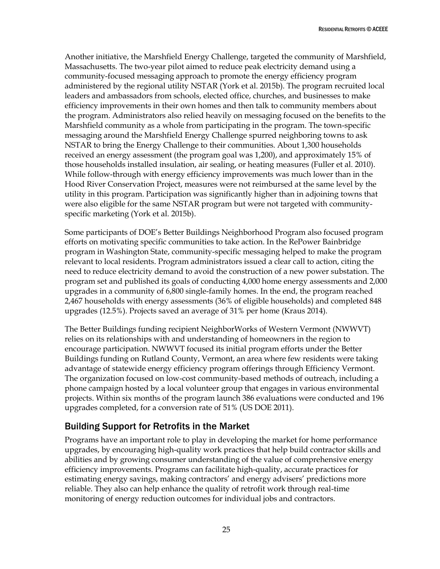Another initiative, the Marshfield Energy Challenge, targeted the community of Marshfield, Massachusetts. The two-year pilot aimed to reduce peak electricity demand using a community-focused messaging approach to promote the energy efficiency program administered by the regional utility NSTAR (York et al. 2015b). The program recruited local leaders and ambassadors from schools, elected office, churches, and businesses to make efficiency improvements in their own homes and then talk to community members about the program. Administrators also relied heavily on messaging focused on the benefits to the Marshfield community as a whole from participating in the program. The town-specific messaging around the Marshfield Energy Challenge spurred neighboring towns to ask NSTAR to bring the Energy Challenge to their communities. About 1,300 households received an energy assessment (the program goal was 1,200), and approximately 15% of those households installed insulation, air sealing, or heating measures (Fuller et al. 2010). While follow-through with energy efficiency improvements was much lower than in the Hood River Conservation Project, measures were not reimbursed at the same level by the utility in this program. Participation was significantly higher than in adjoining towns that were also eligible for the same NSTAR program but were not targeted with communityspecific marketing (York et al. 2015b).

Some participants of DOE's Better Buildings Neighborhood Program also focused program efforts on motivating specific communities to take action. In the RePower Bainbridge program in Washington State, community-specific messaging helped to make the program relevant to local residents. Program administrators issued a clear call to action, citing the need to reduce electricity demand to avoid the construction of a new power substation. The program set and published its goals of conducting 4,000 home energy assessments and 2,000 upgrades in a community of 6,800 single-family homes. In the end, the program reached 2,467 households with energy assessments (36% of eligible households) and completed 848 upgrades (12.5%). Projects saved an average of 31% per home (Kraus 2014).

The Better Buildings funding recipient NeighborWorks of Western Vermont (NWWVT) relies on its relationships with and understanding of homeowners in the region to encourage participation. NWWVT focused its initial program efforts under the Better Buildings funding on Rutland County, Vermont, an area where few residents were taking advantage of statewide energy efficiency program offerings through Efficiency Vermont. The organization focused on low-cost community-based methods of outreach, including a phone campaign hosted by a local volunteer group that engages in various environmental projects. Within six months of the program launch 386 evaluations were conducted and 196 upgrades completed, for a conversion rate of 51% (US DOE 2011).

# <span id="page-30-0"></span>Building Support for Retrofits in the Market

Programs have an important role to play in developing the market for home performance upgrades, by encouraging high-quality work practices that help build contractor skills and abilities and by growing consumer understanding of the value of comprehensive energy efficiency improvements. Programs can facilitate high-quality, accurate practices for estimating energy savings, making contractors' and energy advisers' predictions more reliable. They also can help enhance the quality of retrofit work through real-time monitoring of energy reduction outcomes for individual jobs and contractors.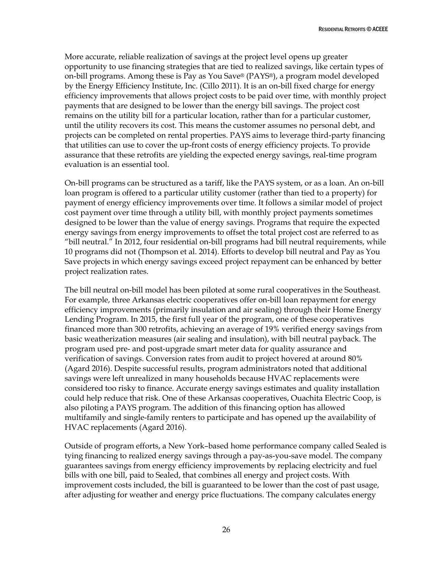More accurate, reliable realization of savings at the project level opens up greater opportunity to use financing strategies that are tied to realized savings, like certain types of on-bill programs. Among these is Pay as You Save® (PAYS®), a program model developed by the Energy Efficiency Institute, Inc. (Cillo 2011). It is an on-bill fixed charge for energy efficiency improvements that allows project costs to be paid over time, with monthly project payments that are designed to be lower than the energy bill savings. The project cost remains on the utility bill for a particular location, rather than for a particular customer, until the utility recovers its cost. This means the customer assumes no personal debt, and projects can be completed on rental properties. PAYS aims to leverage third-party financing that utilities can use to cover the up-front costs of energy efficiency projects. To provide assurance that these retrofits are yielding the expected energy savings, real-time program evaluation is an essential tool.

On-bill programs can be structured as a tariff, like the PAYS system, or as a loan. An on-bill loan program is offered to a particular utility customer (rather than tied to a property) for payment of energy efficiency improvements over time. It follows a similar model of project cost payment over time through a utility bill, with monthly project payments sometimes designed to be lower than the value of energy savings. Programs that require the expected energy savings from energy improvements to offset the total project cost are referred to as "bill neutral." In 2012, four residential on-bill programs had bill neutral requirements, while 10 programs did not (Thompson et al. 2014). Efforts to develop bill neutral and Pay as You Save projects in which energy savings exceed project repayment can be enhanced by better project realization rates.

The bill neutral on-bill model has been piloted at some rural cooperatives in the Southeast. For example, three Arkansas electric cooperatives offer on-bill loan repayment for energy efficiency improvements (primarily insulation and air sealing) through their Home Energy Lending Program. In 2015, the first full year of the program, one of these cooperatives financed more than 300 retrofits, achieving an average of 19% verified energy savings from basic weatherization measures (air sealing and insulation), with bill neutral payback. The program used pre- and post-upgrade smart meter data for quality assurance and verification of savings. Conversion rates from audit to project hovered at around 80% (Agard 2016). Despite successful results, program administrators noted that additional savings were left unrealized in many households because HVAC replacements were considered too risky to finance. Accurate energy savings estimates and quality installation could help reduce that risk. One of these Arkansas cooperatives, Ouachita Electric Coop, is also piloting a PAYS program. The addition of this financing option has allowed multifamily and single-family renters to participate and has opened up the availability of HVAC replacements (Agard 2016).

Outside of program efforts, a New York–based home performance company called Sealed is tying financing to realized energy savings through a pay-as-you-save model. The company guarantees savings from energy efficiency improvements by replacing electricity and fuel bills with one bill, paid to Sealed, that combines all energy and project costs. With improvement costs included, the bill is guaranteed to be lower than the cost of past usage, after adjusting for weather and energy price fluctuations. The company calculates energy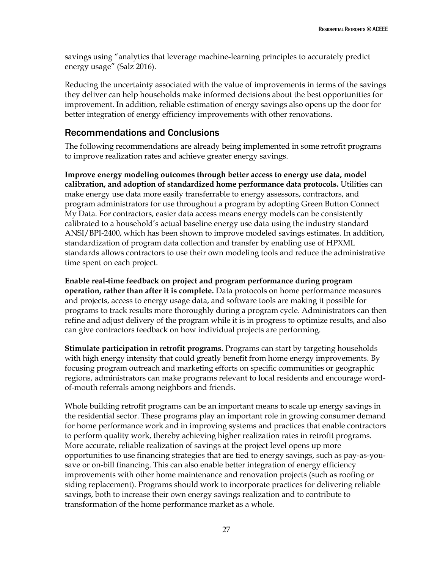savings using "analytics that leverage machine-learning principles to accurately predict energy usage" (Salz 2016).

Reducing the uncertainty associated with the value of improvements in terms of the savings they deliver can help households make informed decisions about the best opportunities for improvement. In addition, reliable estimation of energy savings also opens up the door for better integration of energy efficiency improvements with other renovations.

# <span id="page-32-0"></span>Recommendations and Conclusions

The following recommendations are already being implemented in some retrofit programs to improve realization rates and achieve greater energy savings.

**Improve energy modeling outcomes through better access to energy use data, model calibration, and adoption of standardized home performance data protocols.** Utilities can make energy use data more easily transferrable to energy assessors, contractors, and program administrators for use throughout a program by adopting Green Button Connect My Data. For contractors, easier data access means energy models can be consistently calibrated to a household's actual baseline energy use data using the industry standard ANSI/BPI-2400, which has been shown to improve modeled savings estimates. In addition, standardization of program data collection and transfer by enabling use of HPXML standards allows contractors to use their own modeling tools and reduce the administrative time spent on each project.

**Enable real-time feedback on project and program performance during program operation, rather than after it is complete.** Data protocols on home performance measures and projects, access to energy usage data, and software tools are making it possible for programs to track results more thoroughly during a program cycle. Administrators can then refine and adjust delivery of the program while it is in progress to optimize results, and also can give contractors feedback on how individual projects are performing.

**Stimulate participation in retrofit programs.** Programs can start by targeting households with high energy intensity that could greatly benefit from home energy improvements. By focusing program outreach and marketing efforts on specific communities or geographic regions, administrators can make programs relevant to local residents and encourage wordof-mouth referrals among neighbors and friends.

Whole building retrofit programs can be an important means to scale up energy savings in the residential sector. These programs play an important role in growing consumer demand for home performance work and in improving systems and practices that enable contractors to perform quality work, thereby achieving higher realization rates in retrofit programs. More accurate, reliable realization of savings at the project level opens up more opportunities to use financing strategies that are tied to energy savings, such as pay-as-yousave or on-bill financing. This can also enable better integration of energy efficiency improvements with other home maintenance and renovation projects (such as roofing or siding replacement). Programs should work to incorporate practices for delivering reliable savings, both to increase their own energy savings realization and to contribute to transformation of the home performance market as a whole.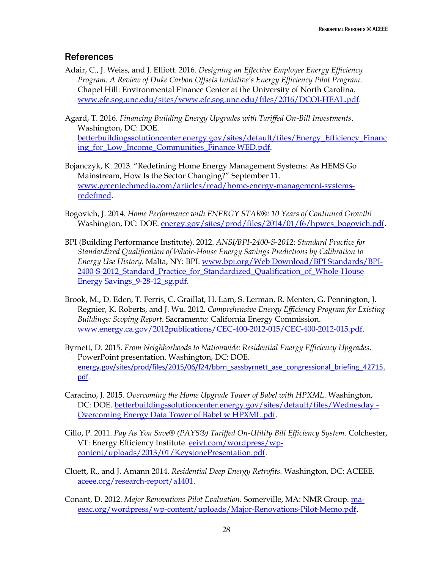# <span id="page-33-0"></span>**References**

- Adair, C., J. Weiss, and J. Elliott. 2016. *Designing an Effective Employee Energy Efficiency Program: A Review of Duke Carbon Offsets Initiative's Energy Efficiency Pilot Program*. Chapel Hill: Environmental Finance Center at the University of North Carolina. [www.efc.sog.unc.edu/sites/www.efc.sog.unc.edu/files/2016/DCOI-HEAL.pdf.](http://www.efc.sog.unc.edu/sites/www.efc.sog.unc.edu/files/2016/DCOI-HEAL.pdf)
- Agard, T. 2016. *Financing Building Energy Upgrades with Tariffed On-Bill Investments*. Washington, DC: DOE. [betterbuildingssolutioncenter.energy.gov/sites/default/files/Energy\\_Efficiency\\_Financ](http://betterbuildingssolutioncenter.energy.gov/sites/default/files/Energy_Efficiency_Financing_for_Low_Income_Communities_Finance%20WED.pdf) [ing\\_for\\_Low\\_Income\\_Communities\\_Finance WED.pdf.](http://betterbuildingssolutioncenter.energy.gov/sites/default/files/Energy_Efficiency_Financing_for_Low_Income_Communities_Finance%20WED.pdf)
- Bojanczyk, K. 2013. "Redefining Home Energy Management Systems: As HEMS Go Mainstream, How Is the Sector Changing?" September 11. [www.greentechmedia.com/articles/read/home-energy-management-systems](http://www.greentechmedia.com/articles/read/home-energy-management-systems-redefined)[redefined.](http://www.greentechmedia.com/articles/read/home-energy-management-systems-redefined)
- Bogovich, J. 2014. *Home Performance with ENERGY STAR®: 10 Years of Continued Growth!* Washington, DC: DOE. [energy.gov/sites/prod/files/2014/01/f6/hpwes\\_bogovich.pdf.](http://energy.gov/sites/prod/files/2014/01/f6/hpwes_bogovich.pdf)
- BPI (Building Performance Institute). 2012. *ANSI/BPI-2400-S-2012: Standard Practice for Standardized Qualification of Whole-House Energy Savings Predictions by Calibration to Energy Use History.* Malta, NY: BPI. [www.bpi.org/Web Download/BPI Standards/BPI-](http://www.bpi.org/Web%20Download/BPI%20Standards/BPI-2400-S-2012_Standard_Practice_for_Standardized_Qualification_of_Whole-House%20Energy%20Savings_9-28-12_sg.pdf)2400-S-2012 Standard Practice for Standardized Oualification of Whole-House [Energy Savings\\_9-28-12\\_sg.pdf.](http://www.bpi.org/Web%20Download/BPI%20Standards/BPI-2400-S-2012_Standard_Practice_for_Standardized_Qualification_of_Whole-House%20Energy%20Savings_9-28-12_sg.pdf)
- Brook, M., D. Eden, T. Ferris, C. Graillat, H. Lam, S. Lerman, R. Menten, G. Pennington, J. Regnier, K. Roberts, and J. Wu. 2012. *Comprehensive Energy Efficiency Program for Existing Buildings: Scoping Report*. Sacramento: California Energy Commission. [www.energy.ca.gov/2012publications/CEC-400-2012-015/CEC-400-2012-015.pdf.](http://www.energy.ca.gov/2012publications/CEC-400-2012-015/CEC-400-2012-015.pdf)
- Byrnett, D. 2015. *From Neighborhoods to Nationwide: Residential Energy Efficiency Upgrades*. PowerPoint presentation. Washington, DC: DOE. [energy.gov/sites/prod/files/2015/06/f24/bbrn\\_sassbyrnett\\_ase\\_congressional\\_briefing\\_42715.](http://energy.gov/sites/prod/files/2015/06/f24/bbrn_sassbyrnett_ase_congressional_briefing_42715.pdf) [pdf.](http://energy.gov/sites/prod/files/2015/06/f24/bbrn_sassbyrnett_ase_congressional_briefing_42715.pdf)
- Caracino, J. 2015. *Overcoming the Home Upgrade Tower of Babel with HPXML*. Washington, DC: DOE. [betterbuildingssolutioncenter.energy.gov/sites/default/files/Wednesday -](http://betterbuildingssolutioncenter.energy.gov/sites/default/files/Wednesday%20-%20Overcoming%20Energy%20Data%20Tower%20of%20Babel%20w%20HPXML.pdf) [Overcoming Energy Data Tower of Babel w HPXML.pdf.](http://betterbuildingssolutioncenter.energy.gov/sites/default/files/Wednesday%20-%20Overcoming%20Energy%20Data%20Tower%20of%20Babel%20w%20HPXML.pdf)
- Cillo, P. 2011. *Pay As You Save® (PAYS®) Tariffed On-Utility Bill Efficiency System*. Colchester, VT: Energy Efficiency Institute. [eeivt.com/wordpress/wp](http://eeivt.com/wordpress/wp-content/uploads/2013/01/KeystonePresentation.pdf)[content/uploads/2013/01/KeystonePresentation.pdf.](http://eeivt.com/wordpress/wp-content/uploads/2013/01/KeystonePresentation.pdf)
- Cluett, R., and J. Amann 2014. *Residential Deep Energy Retrofits.* Washington, DC: ACEEE. [aceee.org/research-report/a1401.](http://aceee.org/research-report/a1401)
- Conant, D. 2012. *Major Renovations Pilot Evaluation*. Somerville, MA: NMR Group. [ma](http://ma-eeac.org/wordpress/wp-content/uploads/Major-Renovations-Pilot-Memo.pdf)[eeac.org/wordpress/wp-content/uploads/Major-Renovations-Pilot-Memo.pdf.](http://ma-eeac.org/wordpress/wp-content/uploads/Major-Renovations-Pilot-Memo.pdf)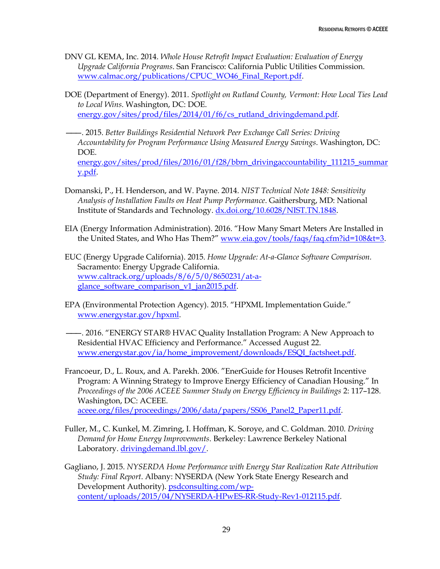- DNV GL KEMA, Inc. 2014. *Whole House Retrofit Impact Evaluation: Evaluation of Energy Upgrade California Programs*. San Francisco: California Public Utilities Commission. [www.calmac.org/publications/CPUC\\_WO46\\_Final\\_Report.pdf.](http://www.calmac.org/publications/CPUC_WO46_Final_Report.pdf)
- DOE (Department of Energy). 2011. *Spotlight on Rutland County, Vermont: How Local Ties Lead to Local Wins*. Washington, DC: DOE. [energy.gov/sites/prod/files/2014/01/f6/cs\\_rutland\\_drivingdemand.pdf.](http://energy.gov/sites/prod/files/2014/01/f6/cs_rutland_drivingdemand.pdf)
- ———. 2015. *Better Buildings Residential Network Peer Exchange Call Series: Driving Accountability for Program Performance Using Measured Energy Savings*. Washington, DC: DOE. [energy.gov/sites/prod/files/2016/01/f28/bbrn\\_drivingaccountability\\_111215\\_summar](http://energy.gov/sites/prod/files/2016/01/f28/bbrn_drivingaccountability_111215_summary.pdf) [y.pdf.](http://energy.gov/sites/prod/files/2016/01/f28/bbrn_drivingaccountability_111215_summary.pdf)
- Domanski, P., H. Henderson, and W. Payne. 2014. *NIST Technical Note 1848: Sensitivity Analysis of Installation Faults on Heat Pump Performance*. Gaithersburg, MD: National Institute of Standards and Technology. [dx.doi.org/10.6028/NIST.TN.1848.](http://dx.doi.org/10.6028/NIST.TN.1848)
- EIA (Energy Information Administration). 2016. "How Many Smart Meters Are Installed in the United States, and Who Has Them?" [www.eia.gov/tools/faqs/faq.cfm?id=108&t=3.](http://www.eia.gov/tools/faqs/faq.cfm?id=108&t=3)
- EUC (Energy Upgrade California). 2015. *Home Upgrade: At-a-Glance Software Comparison.*  Sacramento: Energy Upgrade California. [www.caltrack.org/uploads/8/6/5/0/8650231/at-a](http://www.caltrack.org/uploads/8/6/5/0/8650231/at-a-glance_software_comparison_v1_jan2015.pdf)glance software comparison v1 jan2015.pdf.
- EPA (Environmental Protection Agency). 2015. "HPXML Implementation Guide." [www.energystar.gov/hpxml.](http://www.energystar.gov/hpxml)
- ———. 2016. "ENERGY STAR® HVAC Quality Installation Program: A New Approach to Residential HVAC Efficiency and Performance." Accessed August 22. [www.energystar.gov/ia/home\\_improvement/downloads/ESQI\\_factsheet.pdf.](https://www.energystar.gov/ia/home_improvement/downloads/ESQI_factsheet.pdf)
- Francoeur, D., L. Roux, and A. Parekh. 2006. "EnerGuide for Houses Retrofit Incentive Program: A Winning Strategy to Improve Energy Efficiency of Canadian Housing." In *Proceedings of the 2006 ACEEE Summer Study on Energy Efficiency in Buildings* 2: 117–128. Washington, DC: ACEEE. [aceee.org/files/proceedings/2006/data/papers/SS06\\_Panel2\\_Paper11.pdf.](http://aceee.org/files/proceedings/2006/data/papers/SS06_Panel2_Paper11.pdf)
- Fuller, M., C. Kunkel, M. Zimring, I. Hoffman, K. Soroye, and C. Goldman. 2010. *Driving Demand for Home Energy Improvements*. Berkeley: Lawrence Berkeley National Laboratory[. drivingdemand.lbl.gov/.](http://drivingdemand.lbl.gov/)
- Gagliano, J. 2015. *NYSERDA Home Performance with Energy Star Realization Rate Attribution Study: Final Report*. Albany: NYSERDA (New York State Energy Research and Development Authority). [psdconsulting.com/wp](http://psdconsulting.com/wp-content/uploads/2015/04/NYSERDA-HPwES-RR-Study-Rev1-012115.pdf)[content/uploads/2015/04/NYSERDA-HPwES-RR-Study-Rev1-012115.pdf.](http://psdconsulting.com/wp-content/uploads/2015/04/NYSERDA-HPwES-RR-Study-Rev1-012115.pdf)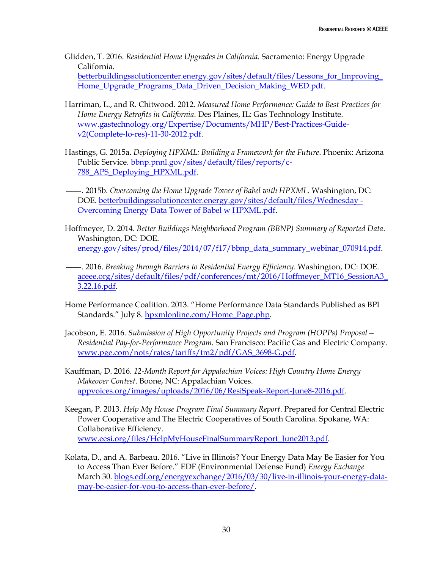- Glidden, T. 2016. *Residential Home Upgrades in California*. Sacramento: Energy Upgrade California. [betterbuildingssolutioncenter.energy.gov/sites/default/files/Lessons\\_for\\_Improving\\_](http://betterbuildingssolutioncenter.energy.gov/sites/default/files/Lessons_for_Improving_Home_Upgrade_Programs_Data_Driven_Decision_Making_WED.pdf) [Home\\_Upgrade\\_Programs\\_Data\\_Driven\\_Decision\\_Making\\_WED.pdf.](http://betterbuildingssolutioncenter.energy.gov/sites/default/files/Lessons_for_Improving_Home_Upgrade_Programs_Data_Driven_Decision_Making_WED.pdf)
- Harriman, L., and R. Chitwood. 2012. *Measured Home Performance: Guide to Best Practices for Home Energy Retrofits in California*. Des Plaines, IL: Gas Technology Institute. [www.gastechnology.org/Expertise/Documents/MHP/Best-Practices-Guide](http://www.gastechnology.org/Expertise/Documents/MHP/Best-Practices-Guide-v2(Complete-lo-res)-11-30-2012.pdf)[v2\(Complete-lo-res\)-11-30-2012.pdf.](http://www.gastechnology.org/Expertise/Documents/MHP/Best-Practices-Guide-v2(Complete-lo-res)-11-30-2012.pdf)
- Hastings, G. 2015a. *Deploying HPXML: Building a Framework for the Future*. Phoenix: Arizona Public Service. [bbnp.pnnl.gov/sites/default/files/reports/c-](https://bbnp.pnnl.gov/sites/default/files/reports/c-788_APS_Deploying_HPXML.pdf)[788\\_APS\\_Deploying\\_HPXML.pdf.](https://bbnp.pnnl.gov/sites/default/files/reports/c-788_APS_Deploying_HPXML.pdf)
- ———. 2015b. *Overcoming the Home Upgrade Tower of Babel with HPXML*. Washington, DC: DOE. [betterbuildingssolutioncenter.energy.gov/sites/default/files/Wednesday -](http://betterbuildingssolutioncenter.energy.gov/sites/default/files/Wednesday%20-%20Overcoming%20Energy%20Data%20Tower%20of%20Babel%20w%20HPXML.pdf) [Overcoming Energy Data Tower of Babel w HPXML.pdf.](http://betterbuildingssolutioncenter.energy.gov/sites/default/files/Wednesday%20-%20Overcoming%20Energy%20Data%20Tower%20of%20Babel%20w%20HPXML.pdf)
- Hoffmeyer, D. 2014. *Better Buildings Neighborhood Program (BBNP) Summary of Reported Data*. Washington, DC: DOE. [energy.gov/sites/prod/files/2014/07/f17/bbnp\\_data\\_summary\\_webinar\\_070914.pdf.](http://energy.gov/sites/prod/files/2014/07/f17/bbnp_data_summary_webinar_070914.pdf)
- ———. 2016. *Breaking through Barriers to Residential Energy Efficiency*. Washington, DC: DOE. [aceee.org/sites/default/files/pdf/conferences/mt/2016/Hoffmeyer\\_MT16\\_SessionA3\\_](http://aceee.org/sites/default/files/pdf/conferences/mt/2016/Hoffmeyer_MT16_SessionA3_3.22.16.pdf) [3.22.16.pdf.](http://aceee.org/sites/default/files/pdf/conferences/mt/2016/Hoffmeyer_MT16_SessionA3_3.22.16.pdf)
- Home Performance Coalition. 2013. "Home Performance Data Standards Published as BPI Standards." July 8. [hpxmlonline.com/Home\\_Page.php.](http://hpxmlonline.com/Home_Page.php)
- Jacobson, E. 2016. *Submission of High Opportunity Projects and Program (HOPPs) Proposal— Residential Pay-for-Performance Program.* San Francisco: Pacific Gas and Electric Company. [www.pge.com/nots/rates/tariffs/tm2/pdf/GAS\\_3698-G.pdf.](https://www.pge.com/nots/rates/tariffs/tm2/pdf/GAS_3698-G.pdf)
- Kauffman, D. 2016. *12-Month Report for Appalachian Voices: High Country Home Energy Makeover Contest*. Boone, NC: Appalachian Voices. [appvoices.org/images/uploads/2016/06/ResiSpeak-Report-June8-2016.pdf.](http://appvoices.org/images/uploads/2016/06/ResiSpeak-Report-June8-2016.pdf)
- Keegan, P. 2013. *Help My House Program Final Summary Report*. Prepared for Central Electric Power Cooperative and The Electric Cooperatives of South Carolina. Spokane, WA: Collaborative Efficiency. [www.eesi.org/files/HelpMyHouseFinalSummaryReport\\_June2013.pdf.](http://www.eesi.org/files/HelpMyHouseFinalSummaryReport_June2013.pdf)
- Kolata, D., and A. Barbeau. 2016. "Live in Illinois? Your Energy Data May Be Easier for You to Access Than Ever Before." EDF (Environmental Defense Fund) *Energy Exchange* March 30. [blogs.edf.org/energyexchange/2016/03/30/live-in-illinois-your-energy-data](http://blogs.edf.org/energyexchange/2016/03/30/live-in-illinois-your-energy-data-may-be-easier-for-you-to-access-than-ever-before/)[may-be-easier-for-you-to-access-than-ever-before/.](http://blogs.edf.org/energyexchange/2016/03/30/live-in-illinois-your-energy-data-may-be-easier-for-you-to-access-than-ever-before/)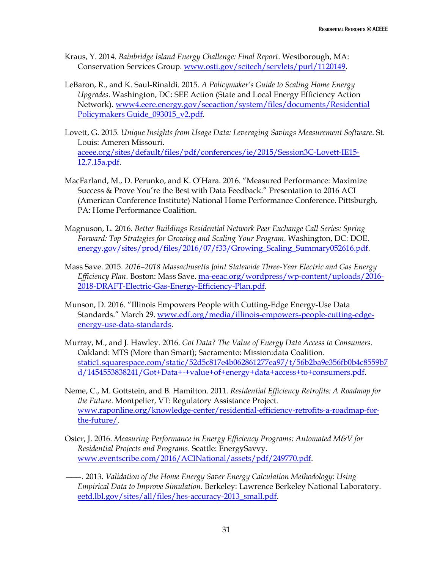- Kraus, Y. 2014. *Bainbridge Island Energy Challenge: Final Report*. Westborough, MA: Conservation Services Group. [www.osti.gov/scitech/servlets/purl/1120149.](http://www.osti.gov/scitech/servlets/purl/1120149)
- LeBaron, R., and K. Saul-Rinaldi. 2015. *A Policymaker's Guide to Scaling Home Energy Upgrades*. Washington, DC: SEE Action (State and Local Energy Efficiency Action Network). [www4.eere.energy.gov/seeaction/system/files/documents/Residential](https://www4.eere.energy.gov/seeaction/system/files/documents/Residential%20Policymakers%20Guide_093015_v2.pdf)  [Policymakers Guide\\_093015\\_v2.pdf.](https://www4.eere.energy.gov/seeaction/system/files/documents/Residential%20Policymakers%20Guide_093015_v2.pdf)
- Lovett, G. 2015. *Unique Insights from Usage Data: Leveraging Savings Measurement Software*. St. Louis: Ameren Missouri. [aceee.org/sites/default/files/pdf/conferences/ie/2015/Session3C-Lovett-IE15-](http://aceee.org/sites/default/files/pdf/conferences/ie/2015/Session3C-Lovett-IE15-12.7.15a.pdf) [12.7.15a.pdf.](http://aceee.org/sites/default/files/pdf/conferences/ie/2015/Session3C-Lovett-IE15-12.7.15a.pdf)
- MacFarland, M., D. Perunko, and K. O'Hara. 2016. "Measured Performance: Maximize Success & Prove You're the Best with Data Feedback." Presentation to 2016 ACI (American Conference Institute) National Home Performance Conference. Pittsburgh, PA: Home Performance Coalition.
- Magnuson, L. 2016. *Better Buildings Residential Network Peer Exchange Call Series: Spring Forward: Top Strategies for Growing and Scaling Your Program*. Washington, DC: DOE. [energy.gov/sites/prod/files/2016/07/f33/Growing\\_Scaling\\_Summary052616.pdf.](http://energy.gov/sites/prod/files/2016/07/f33/Growing_Scaling_Summary052616.pdf)
- Mass Save. 2015. *2016–2018 Massachusetts Joint Statewide Three-Year Electric and Gas Energy Efficiency Plan*. Boston: Mass Save. [ma-eeac.org/wordpress/wp-content/uploads/2016-](http://ma-eeac.org/wordpress/wp-content/uploads/2016-2018-DRAFT-Electric-Gas-Energy-Efficiency-Plan.pdf) [2018-DRAFT-Electric-Gas-Energy-Efficiency-Plan.pdf.](http://ma-eeac.org/wordpress/wp-content/uploads/2016-2018-DRAFT-Electric-Gas-Energy-Efficiency-Plan.pdf)
- Munson, D. 2016. "Illinois Empowers People with Cutting-Edge Energy-Use Data Standards." March 29. [www.edf.org/media/illinois-empowers-people-cutting-edge](https://www.edf.org/media/illinois-empowers-people-cutting-edge-energy-use-data-standards)[energy-use-data-standards.](https://www.edf.org/media/illinois-empowers-people-cutting-edge-energy-use-data-standards)
- Murray, M., and J. Hawley. 2016. *Got Data? The Value of Energy Data Access to Consumers*. Oakland: MTS (More than Smart); Sacramento: Mission:data Coalition. [static1.squarespace.com/static/52d5c817e4b062861277ea97/t/56b2ba9e356fb0b4c8559b7](https://static1.squarespace.com/static/52d5c817e4b062861277ea97/t/56b2ba9e356fb0b4c8559b7d/1454553838241/Got+Data+-+value+of+energy+data+access+to+consumers.pdf) [d/1454553838241/Got+Data+-+value+of+energy+data+access+to+consumers.pdf.](https://static1.squarespace.com/static/52d5c817e4b062861277ea97/t/56b2ba9e356fb0b4c8559b7d/1454553838241/Got+Data+-+value+of+energy+data+access+to+consumers.pdf)
- Neme, C., M. Gottstein, and B. Hamilton. 2011. *Residential Efficiency Retrofits: A Roadmap for the Future*. Montpelier, VT: Regulatory Assistance Project. [www.raponline.org/knowledge-center/residential-efficiency-retrofits-a-roadmap-for](https://www.raponline.org/knowledge-center/residential-efficiency-retrofits-a-roadmap-for-the-future/)[the-future/.](https://www.raponline.org/knowledge-center/residential-efficiency-retrofits-a-roadmap-for-the-future/)
- Oster, J. 2016. *Measuring Performance in Energy Efficiency Programs: Automated M&V for Residential Projects and Programs*. Seattle: EnergySavvy. [www.eventscribe.com/2016/ACINational/assets/pdf/249770.pdf.](http://www.eventscribe.com/2016/ACINational/assets/pdf/249770.pdf)
- ———. 2013. *Validation of the Home Energy Saver Energy Calculation Methodology: Using Empirical Data to Improve Simulation*. Berkeley: Lawrence Berkeley National Laboratory. [eetd.lbl.gov/sites/all/files/hes-accuracy-2013\\_small.pdf.](http://eetd.lbl.gov/sites/all/files/hes-accuracy-2013_small.pdf)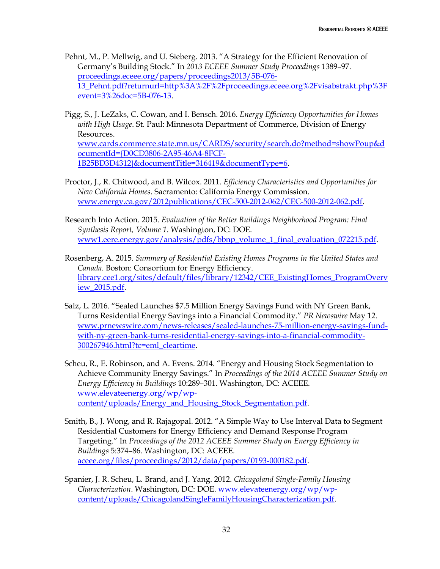- Pehnt, M., P. Mellwig, and U. Sieberg. 2013. "A Strategy for the Efficient Renovation of Germany's Building Stock." In *2013 ECEEE Summer Study Proceedings* 1389–97. [proceedings.eceee.org/papers/proceedings2013/5B-076-](http://proceedings.eceee.org/papers/proceedings2013/5B-076-13_Pehnt.pdf?returnurl=http%3A%2F%2Fproceedings.eceee.org%2Fvisabstrakt.php%3Fevent%3D3%26doc%3D5B-076-13) [13\\_Pehnt.pdf?returnurl=http%3A%2F%2Fproceedings.eceee.org%2Fvisabstrakt.php%3F](http://proceedings.eceee.org/papers/proceedings2013/5B-076-13_Pehnt.pdf?returnurl=http%3A%2F%2Fproceedings.eceee.org%2Fvisabstrakt.php%3Fevent%3D3%26doc%3D5B-076-13) [event=3%26doc=5B-076-13.](http://proceedings.eceee.org/papers/proceedings2013/5B-076-13_Pehnt.pdf?returnurl=http%3A%2F%2Fproceedings.eceee.org%2Fvisabstrakt.php%3Fevent%3D3%26doc%3D5B-076-13)
- Pigg, S., J. LeZaks, C. Cowan, and I. Bensch. 2016. *Energy Efficiency Opportunities for Homes with High Usage*. St. Paul: Minnesota Department of Commerce, Division of Energy Resources.

[www.cards.commerce.state.mn.us/CARDS/security/search.do?method=showPoup&d](https://www.cards.commerce.state.mn.us/CARDS/security/search.do?method=showPoup&documentId=%7BD0CD3806-2A95-46A4-8FCF-1B25BD3D4312%7D&documentTitle=316419&documentType=6) [ocumentId={D0CD3806-2A95-46A4-8FCF-](https://www.cards.commerce.state.mn.us/CARDS/security/search.do?method=showPoup&documentId=%7BD0CD3806-2A95-46A4-8FCF-1B25BD3D4312%7D&documentTitle=316419&documentType=6)[1B25BD3D4312}&documentTitle=316419&documentType=6.](https://www.cards.commerce.state.mn.us/CARDS/security/search.do?method=showPoup&documentId=%7BD0CD3806-2A95-46A4-8FCF-1B25BD3D4312%7D&documentTitle=316419&documentType=6)

- Proctor, J., R. Chitwood, and B. Wilcox. 2011. *Efficiency Characteristics and Opportunities for New California Homes*. Sacramento: California Energy Commission. [www.energy.ca.gov/2012publications/CEC-500-2012-062/CEC-500-2012-062.pdf.](http://www.energy.ca.gov/2012publications/CEC-500-2012-062/CEC-500-2012-062.pdf)
- Research Into Action. 2015. *Evaluation of the Better Buildings Neighborhood Program: Final Synthesis Report, Volume 1*. Washington, DC: DOE. [www1.eere.energy.gov/analysis/pdfs/bbnp\\_volume\\_1\\_final\\_evaluation\\_072215.pdf.](https://www1.eere.energy.gov/analysis/pdfs/bbnp_volume_1_final_evaluation_072215.pdf)
- Rosenberg, A. 2015. *Summary of Residential Existing Homes Programs in the United States and Canada*. Boston: Consortium for Energy Efficiency. [library.cee1.org/sites/default/files/library/12342/CEE\\_ExistingHomes\\_ProgramOverv](https://library.cee1.org/sites/default/files/library/12342/CEE_ExistingHomes_ProgramOverview_2015.pdf) [iew\\_2015.pdf.](https://library.cee1.org/sites/default/files/library/12342/CEE_ExistingHomes_ProgramOverview_2015.pdf)
- Salz, L. 2016. "Sealed Launches \$7.5 Million Energy Savings Fund with NY Green Bank, Turns Residential Energy Savings into a Financial Commodity." *PR Newswire* May 12. [www.prnewswire.com/news-releases/sealed-launches-75-million-energy-savings-fund](http://www.prnewswire.com/news-releases/sealed-launches-75-million-energy-savings-fund-with-ny-green-bank-turns-residential-energy-savings-into-a-financial-commodity-300267946.html?tc=eml_cleartime)[with-ny-green-bank-turns-residential-energy-savings-into-a-financial-commodity-](http://www.prnewswire.com/news-releases/sealed-launches-75-million-energy-savings-fund-with-ny-green-bank-turns-residential-energy-savings-into-a-financial-commodity-300267946.html?tc=eml_cleartime)[300267946.html?tc=eml\\_cleartime.](http://www.prnewswire.com/news-releases/sealed-launches-75-million-energy-savings-fund-with-ny-green-bank-turns-residential-energy-savings-into-a-financial-commodity-300267946.html?tc=eml_cleartime)
- Scheu, R., E. Robinson, and A. Evens. 2014. "Energy and Housing Stock Segmentation to Achieve Community Energy Savings." In *Proceedings of the 2014 ACEEE Summer Study on Energy Efficiency in Buildings* 10:289–301. Washington, DC: ACEEE. [www.elevateenergy.org/wp/wp](http://www.elevateenergy.org/wp/wp-content/uploads/Energy_and_Housing_Stock_Segmentation.pdf)[content/uploads/Energy\\_and\\_Housing\\_Stock\\_Segmentation.pdf.](http://www.elevateenergy.org/wp/wp-content/uploads/Energy_and_Housing_Stock_Segmentation.pdf)
- Smith, B., J. Wong, and R. Rajagopal. 2012. "A Simple Way to Use Interval Data to Segment Residential Customers for Energy Efficiency and Demand Response Program Targeting." In *Proceedings of the 2012 ACEEE Summer Study on Energy Efficiency in Buildings* 5:374–86. Washington, DC: ACEEE. [aceee.org/files/proceedings/2012/data/papers/0193-000182.pdf.](http://aceee.org/files/proceedings/2012/data/papers/0193-000182.pdf)
- Spanier, J. R. Scheu, L. Brand, and J. Yang. 2012. *Chicagoland Single-Family Housing Characterization*. Washington, DC: DOE. [www.elevateenergy.org/wp/wp](http://www.elevateenergy.org/wp/wp-content/uploads/ChicagolandSingleFamilyHousingCharacterization.pdf)[content/uploads/ChicagolandSingleFamilyHousingCharacterization.pdf.](http://www.elevateenergy.org/wp/wp-content/uploads/ChicagolandSingleFamilyHousingCharacterization.pdf)